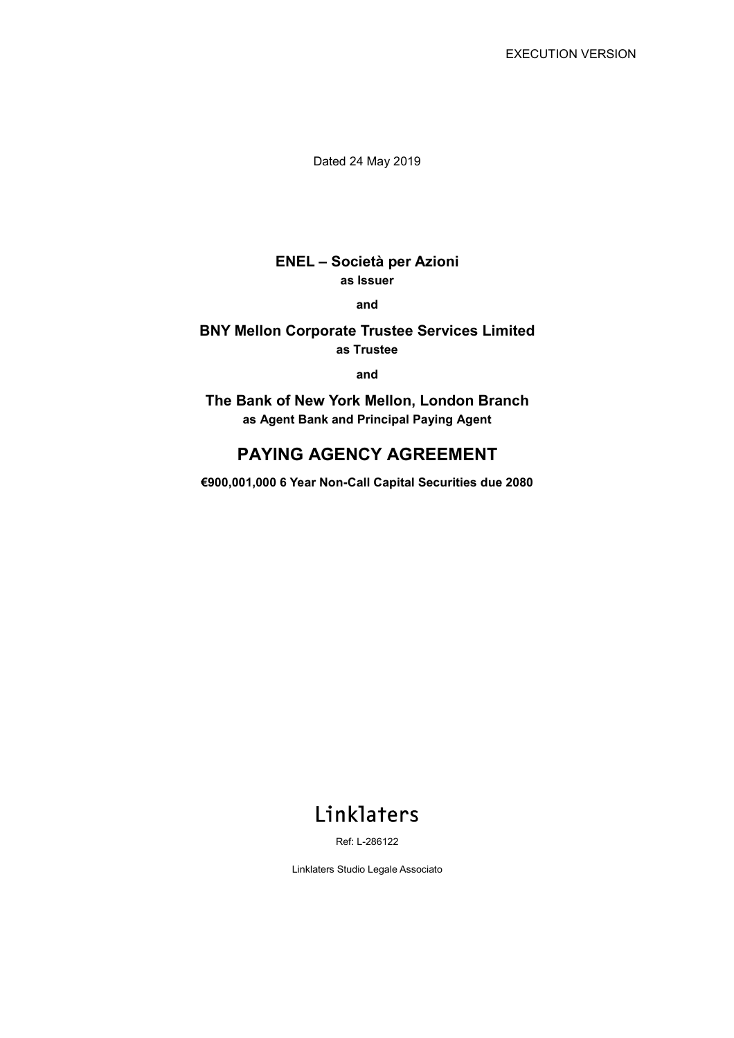Dated 24 May 2019

## **ENEL – Società per Azioni as Issuer**

**and** 

### **BNY Mellon Corporate Trustee Services Limited as Trustee**

**and** 

**The Bank of New York Mellon, London Branch as Agent Bank and Principal Paying Agent**

# **PAYING AGENCY AGREEMENT**

**€900,001,000 6 Year Non-Call Capital Securities due 2080** 

# Linklaters

Ref: L-286122

Linklaters Studio Legale Associato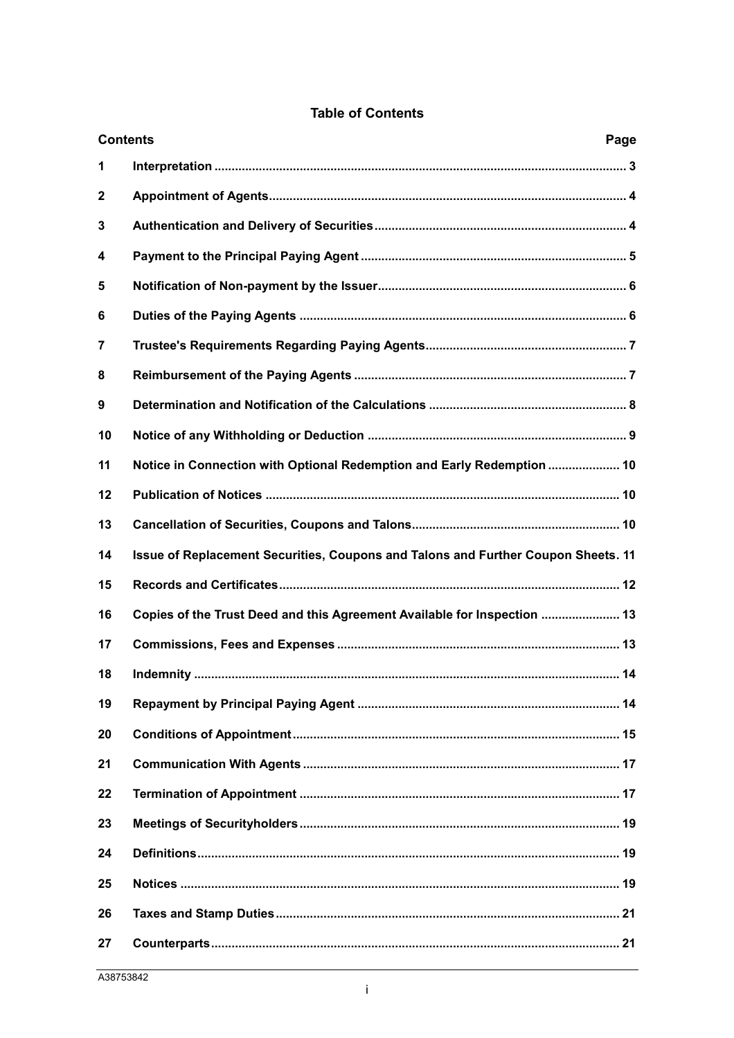| <b>Contents</b><br>Page |                                                                                   |  |
|-------------------------|-----------------------------------------------------------------------------------|--|
| 1                       |                                                                                   |  |
| $\mathbf{2}$            |                                                                                   |  |
| 3                       |                                                                                   |  |
| 4                       |                                                                                   |  |
| 5                       |                                                                                   |  |
| 6                       |                                                                                   |  |
| 7                       |                                                                                   |  |
| 8                       |                                                                                   |  |
| 9                       |                                                                                   |  |
| 10                      |                                                                                   |  |
| 11                      | Notice in Connection with Optional Redemption and Early Redemption  10            |  |
| 12                      |                                                                                   |  |
| 13                      |                                                                                   |  |
| 14                      | Issue of Replacement Securities, Coupons and Talons and Further Coupon Sheets. 11 |  |
| 15                      |                                                                                   |  |
| 16                      | Copies of the Trust Deed and this Agreement Available for Inspection  13          |  |
| 17                      |                                                                                   |  |
| 18                      |                                                                                   |  |
| 19                      |                                                                                   |  |
| 20                      |                                                                                   |  |
| 21                      |                                                                                   |  |
| 22                      |                                                                                   |  |
| 23                      |                                                                                   |  |
| 24                      |                                                                                   |  |
| 25                      |                                                                                   |  |
| 26                      |                                                                                   |  |
| 27                      |                                                                                   |  |

### **Table of Contents**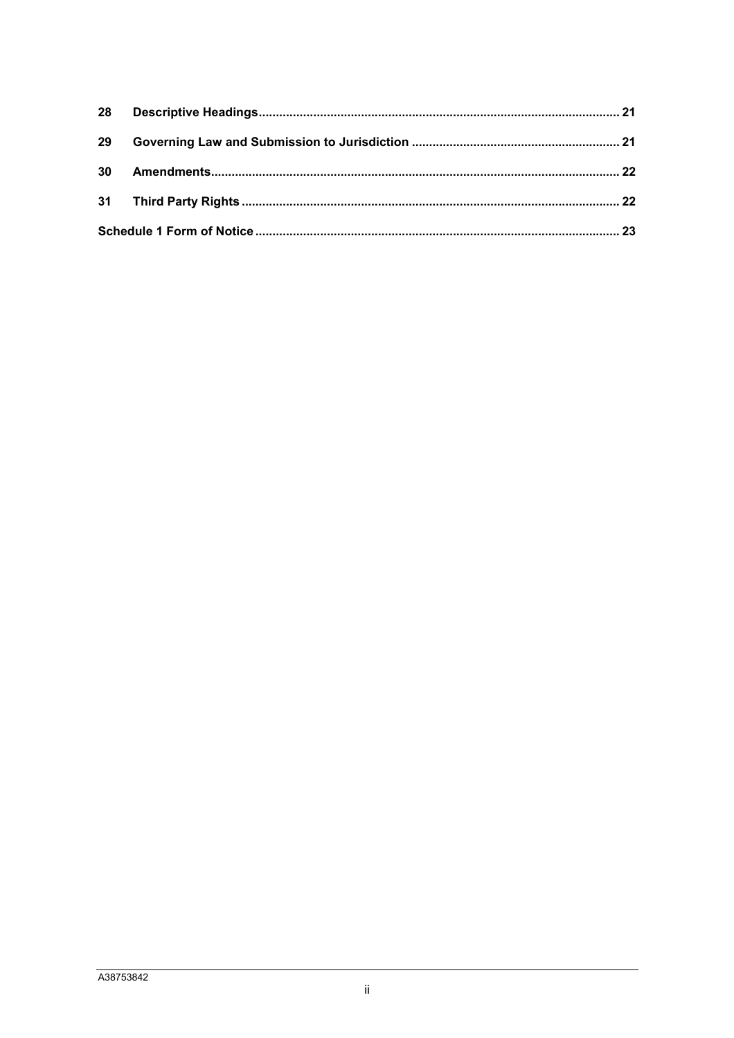| 29 |  |  |  |
|----|--|--|--|
|    |  |  |  |
|    |  |  |  |
|    |  |  |  |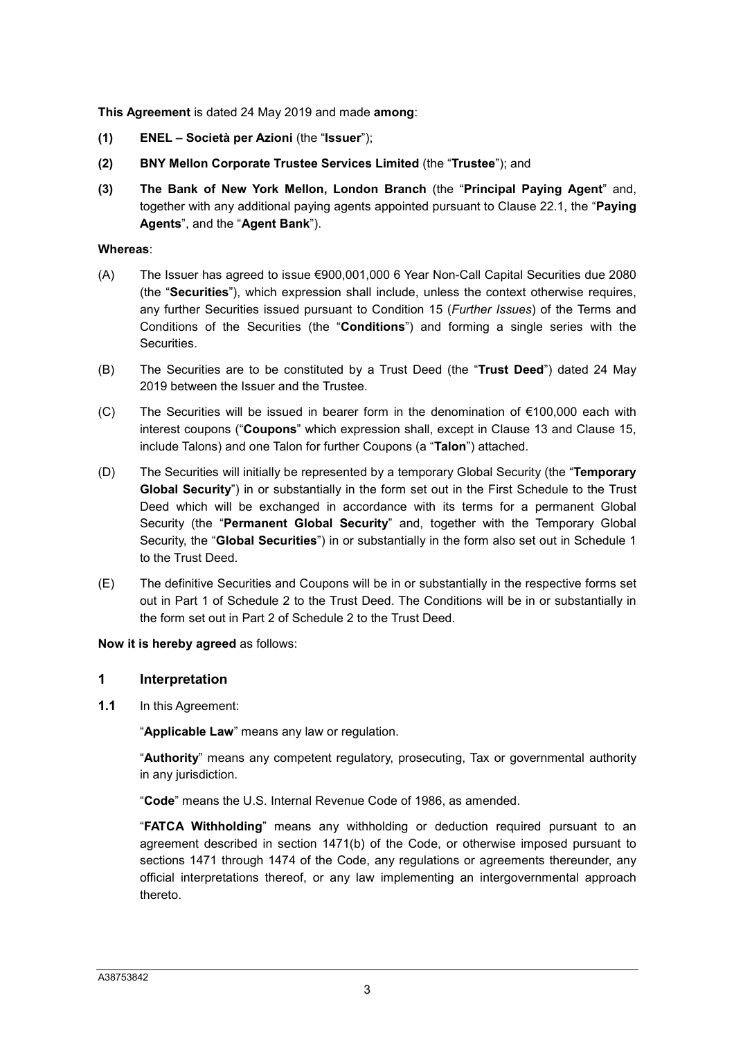**This Agreement** is dated 24 May 2019 and made **among**:

- **(1) ENEL Società per Azioni** (the "**Issuer**");
- **(2) BNY Mellon Corporate Trustee Services Limited** (the "**Trustee**"); and
- **(3) The Bank of New York Mellon, London Branch** (the "**Principal Paying Agent**" and, together with any additional paying agents appointed pursuant to Clause 22.1, the "**Paying Agents**", and the "**Agent Bank**").

#### **Whereas**:

- (A) The Issuer has agreed to issue €900,001,000 6 Year Non-Call Capital Securities due 2080 (the "**Securities**"), which expression shall include, unless the context otherwise requires, any further Securities issued pursuant to Condition 15 (*Further Issues*) of the Terms and Conditions of the Securities (the "**Conditions**") and forming a single series with the Securities.
- (B) The Securities are to be constituted by a Trust Deed (the "**Trust Deed**") dated 24 May 2019 between the Issuer and the Trustee.
- (C) The Securities will be issued in bearer form in the denomination of €100,000 each with interest coupons ("**Coupons**" which expression shall, except in Clause 13 and Clause 15, include Talons) and one Talon for further Coupons (a "**Talon**") attached.
- (D) The Securities will initially be represented by a temporary Global Security (the "**Temporary Global Security**") in or substantially in the form set out in the First Schedule to the Trust Deed which will be exchanged in accordance with its terms for a permanent Global Security (the "**Permanent Global Security**" and, together with the Temporary Global Security, the "**Global Securities**") in or substantially in the form also set out in Schedule 1 to the Trust Deed.
- (E) The definitive Securities and Coupons will be in or substantially in the respective forms set out in Part 1 of Schedule 2 to the Trust Deed. The Conditions will be in or substantially in the form set out in Part 2 of Schedule 2 to the Trust Deed.

**Now it is hereby agreed** as follows:

#### **1 Interpretation**

**1.1** In this Agreement:

"**Applicable Law**" means any law or regulation.

"**Authority**" means any competent regulatory, prosecuting, Tax or governmental authority in any jurisdiction.

"**Code**" means the U.S. Internal Revenue Code of 1986, as amended.

"**FATCA Withholding**" means any withholding or deduction required pursuant to an agreement described in section 1471(b) of the Code, or otherwise imposed pursuant to sections 1471 through 1474 of the Code, any regulations or agreements thereunder, any official interpretations thereof, or any law implementing an intergovernmental approach thereto.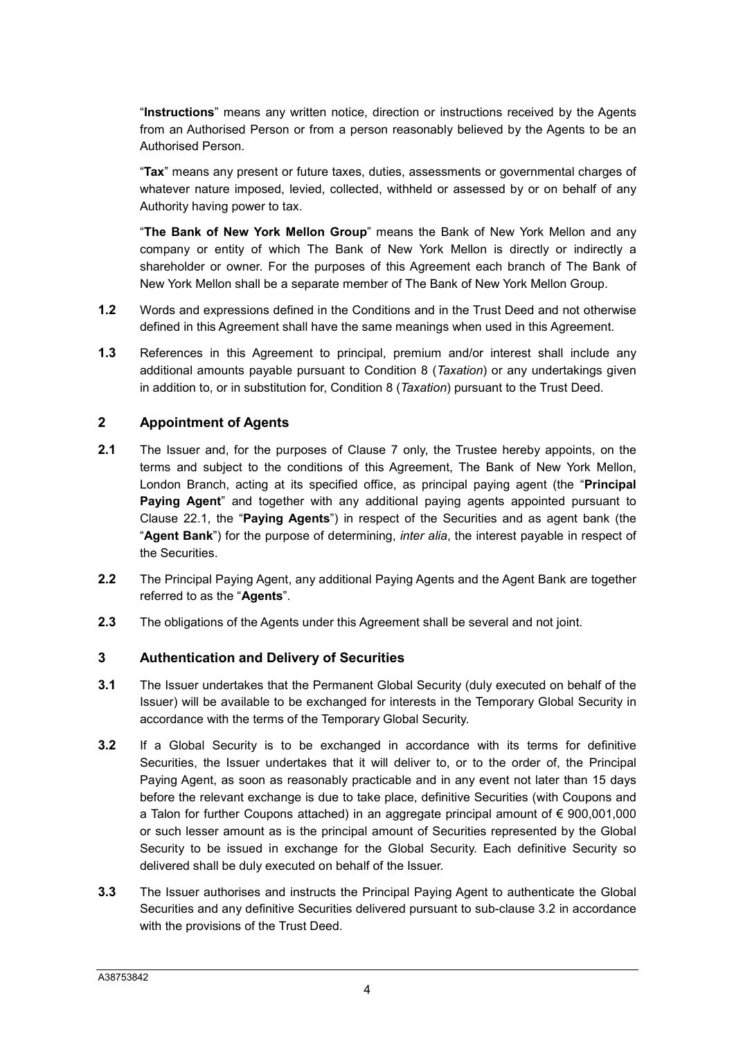"**Instructions**" means any written notice, direction or instructions received by the Agents from an Authorised Person or from a person reasonably believed by the Agents to be an Authorised Person.

"**Tax**" means any present or future taxes, duties, assessments or governmental charges of whatever nature imposed, levied, collected, withheld or assessed by or on behalf of any Authority having power to tax.

"**The Bank of New York Mellon Group**" means the Bank of New York Mellon and any company or entity of which The Bank of New York Mellon is directly or indirectly a shareholder or owner. For the purposes of this Agreement each branch of The Bank of New York Mellon shall be a separate member of The Bank of New York Mellon Group.

- **1.2** Words and expressions defined in the Conditions and in the Trust Deed and not otherwise defined in this Agreement shall have the same meanings when used in this Agreement.
- **1.3** References in this Agreement to principal, premium and/or interest shall include any additional amounts payable pursuant to Condition 8 (*Taxation*) or any undertakings given in addition to, or in substitution for, Condition 8 (*Taxation*) pursuant to the Trust Deed.

#### **2 Appointment of Agents**

- **2.1** The Issuer and, for the purposes of Clause 7 only, the Trustee hereby appoints, on the terms and subject to the conditions of this Agreement, The Bank of New York Mellon, London Branch, acting at its specified office, as principal paying agent (the "**Principal Paying Agent**" and together with any additional paying agents appointed pursuant to Clause 22.1, the "**Paying Agents**") in respect of the Securities and as agent bank (the "**Agent Bank**") for the purpose of determining, *inter alia*, the interest payable in respect of the Securities.
- **2.2** The Principal Paying Agent, any additional Paying Agents and the Agent Bank are together referred to as the "**Agents**".
- **2.3** The obligations of the Agents under this Agreement shall be several and not joint.

#### **3 Authentication and Delivery of Securities**

- **3.1** The Issuer undertakes that the Permanent Global Security (duly executed on behalf of the Issuer) will be available to be exchanged for interests in the Temporary Global Security in accordance with the terms of the Temporary Global Security.
- **3.2** If a Global Security is to be exchanged in accordance with its terms for definitive Securities, the Issuer undertakes that it will deliver to, or to the order of, the Principal Paying Agent, as soon as reasonably practicable and in any event not later than 15 days before the relevant exchange is due to take place, definitive Securities (with Coupons and a Talon for further Coupons attached) in an aggregate principal amount of  $\epsilon$  900,001,000 or such lesser amount as is the principal amount of Securities represented by the Global Security to be issued in exchange for the Global Security. Each definitive Security so delivered shall be duly executed on behalf of the Issuer.
- **3.3** The Issuer authorises and instructs the Principal Paying Agent to authenticate the Global Securities and any definitive Securities delivered pursuant to sub-clause 3.2 in accordance with the provisions of the Trust Deed.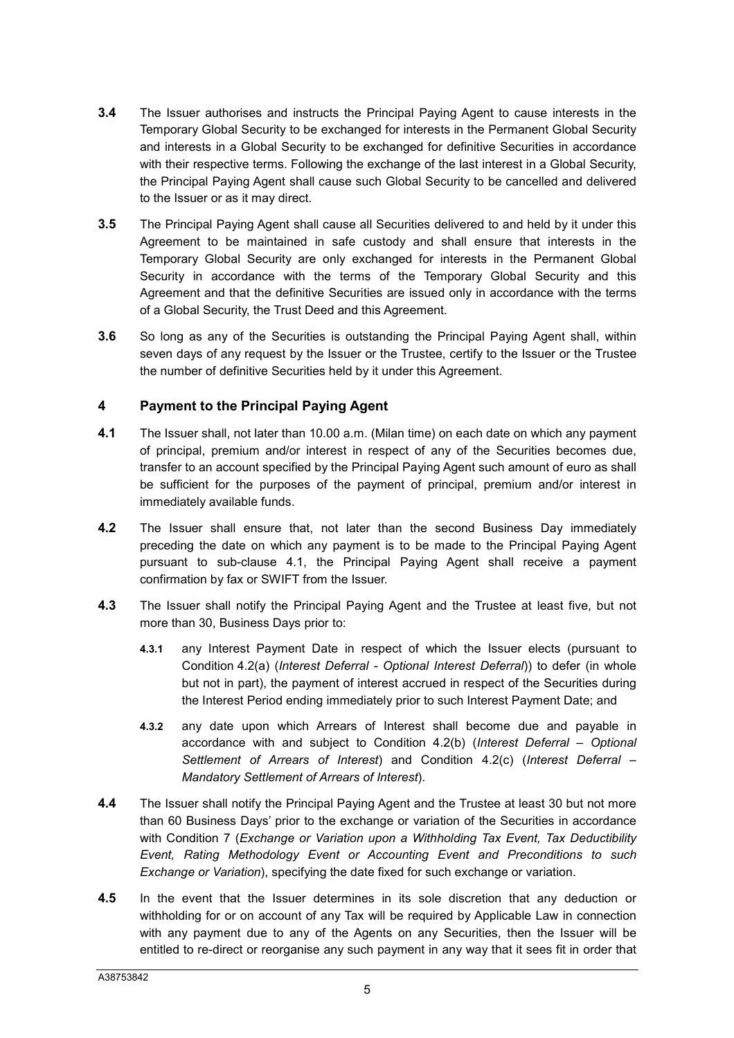- **3.4** The Issuer authorises and instructs the Principal Paying Agent to cause interests in the Temporary Global Security to be exchanged for interests in the Permanent Global Security and interests in a Global Security to be exchanged for definitive Securities in accordance with their respective terms. Following the exchange of the last interest in a Global Security, the Principal Paying Agent shall cause such Global Security to be cancelled and delivered to the Issuer or as it may direct.
- **3.5** The Principal Paying Agent shall cause all Securities delivered to and held by it under this Agreement to be maintained in safe custody and shall ensure that interests in the Temporary Global Security are only exchanged for interests in the Permanent Global Security in accordance with the terms of the Temporary Global Security and this Agreement and that the definitive Securities are issued only in accordance with the terms of a Global Security, the Trust Deed and this Agreement.
- **3.6** So long as any of the Securities is outstanding the Principal Paying Agent shall, within seven days of any request by the Issuer or the Trustee, certify to the Issuer or the Trustee the number of definitive Securities held by it under this Agreement.

## **4 Payment to the Principal Paying Agent**

- **4.1** The Issuer shall, not later than 10.00 a.m. (Milan time) on each date on which any payment of principal, premium and/or interest in respect of any of the Securities becomes due, transfer to an account specified by the Principal Paying Agent such amount of euro as shall be sufficient for the purposes of the payment of principal, premium and/or interest in immediately available funds.
- **4.2** The Issuer shall ensure that, not later than the second Business Day immediately preceding the date on which any payment is to be made to the Principal Paying Agent pursuant to sub-clause 4.1, the Principal Paying Agent shall receive a payment confirmation by fax or SWIFT from the Issuer.
- **4.3** The Issuer shall notify the Principal Paying Agent and the Trustee at least five, but not more than 30, Business Days prior to:
	- **4.3.1** any Interest Payment Date in respect of which the Issuer elects (pursuant to Condition 4.2(a) (*Interest Deferral - Optional Interest Deferral*)) to defer (in whole but not in part), the payment of interest accrued in respect of the Securities during the Interest Period ending immediately prior to such Interest Payment Date; and
	- **4.3.2** any date upon which Arrears of Interest shall become due and payable in accordance with and subject to Condition 4.2(b) (*Interest Deferral – Optional Settlement of Arrears of Interest*) and Condition 4.2(c) (*Interest Deferral – Mandatory Settlement of Arrears of Interest*).
- **4.4** The Issuer shall notify the Principal Paying Agent and the Trustee at least 30 but not more than 60 Business Days' prior to the exchange or variation of the Securities in accordance with Condition 7 (*Exchange or Variation upon a Withholding Tax Event, Tax Deductibility Event, Rating Methodology Event or Accounting Event and Preconditions to such Exchange or Variation*), specifying the date fixed for such exchange or variation.
- **4.5** In the event that the Issuer determines in its sole discretion that any deduction or withholding for or on account of any Tax will be required by Applicable Law in connection with any payment due to any of the Agents on any Securities, then the Issuer will be entitled to re-direct or reorganise any such payment in any way that it sees fit in order that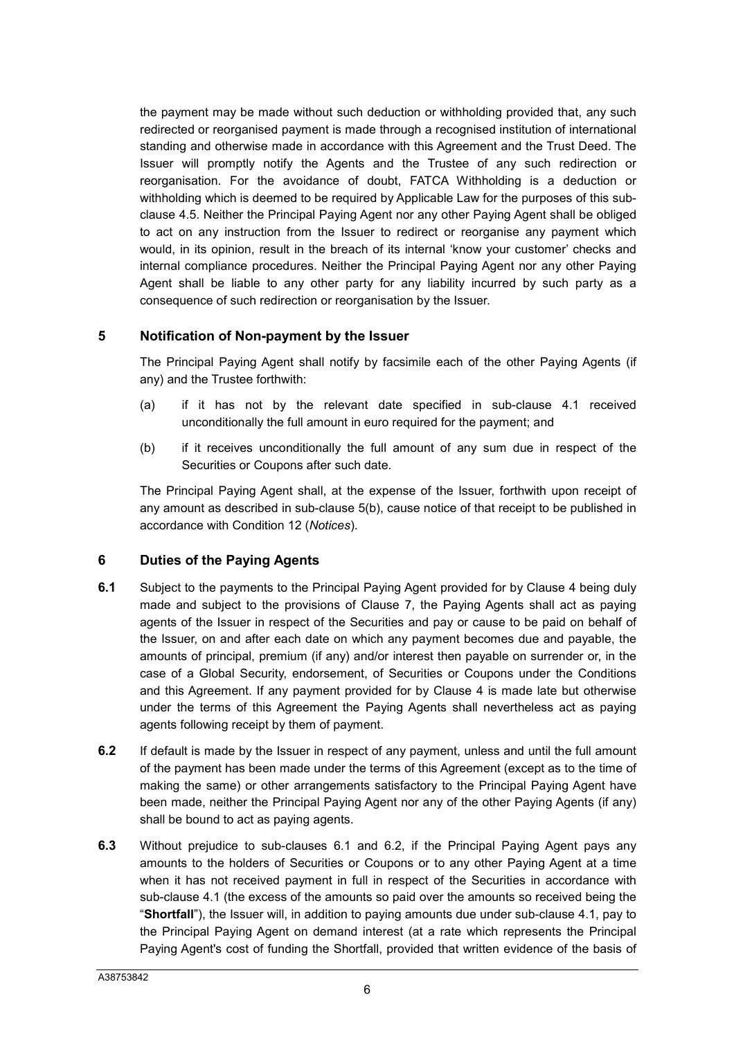the payment may be made without such deduction or withholding provided that, any such redirected or reorganised payment is made through a recognised institution of international standing and otherwise made in accordance with this Agreement and the Trust Deed. The Issuer will promptly notify the Agents and the Trustee of any such redirection or reorganisation. For the avoidance of doubt, FATCA Withholding is a deduction or withholding which is deemed to be required by Applicable Law for the purposes of this subclause 4.5. Neither the Principal Paying Agent nor any other Paying Agent shall be obliged to act on any instruction from the Issuer to redirect or reorganise any payment which would, in its opinion, result in the breach of its internal 'know your customer' checks and internal compliance procedures. Neither the Principal Paying Agent nor any other Paying Agent shall be liable to any other party for any liability incurred by such party as a consequence of such redirection or reorganisation by the Issuer.

## **5 Notification of Non-payment by the Issuer**

The Principal Paying Agent shall notify by facsimile each of the other Paying Agents (if any) and the Trustee forthwith:

- (a) if it has not by the relevant date specified in sub-clause 4.1 received unconditionally the full amount in euro required for the payment; and
- (b) if it receives unconditionally the full amount of any sum due in respect of the Securities or Coupons after such date.

The Principal Paying Agent shall, at the expense of the Issuer, forthwith upon receipt of any amount as described in sub-clause 5(b), cause notice of that receipt to be published in accordance with Condition 12 (*Notices*).

#### **6 Duties of the Paying Agents**

- **6.1** Subject to the payments to the Principal Paying Agent provided for by Clause 4 being duly made and subject to the provisions of Clause 7, the Paying Agents shall act as paying agents of the Issuer in respect of the Securities and pay or cause to be paid on behalf of the Issuer, on and after each date on which any payment becomes due and payable, the amounts of principal, premium (if any) and/or interest then payable on surrender or, in the case of a Global Security, endorsement, of Securities or Coupons under the Conditions and this Agreement. If any payment provided for by Clause 4 is made late but otherwise under the terms of this Agreement the Paying Agents shall nevertheless act as paying agents following receipt by them of payment.
- **6.2** If default is made by the Issuer in respect of any payment, unless and until the full amount of the payment has been made under the terms of this Agreement (except as to the time of making the same) or other arrangements satisfactory to the Principal Paying Agent have been made, neither the Principal Paying Agent nor any of the other Paying Agents (if any) shall be bound to act as paying agents.
- **6.3** Without prejudice to sub-clauses 6.1 and 6.2, if the Principal Paying Agent pays any amounts to the holders of Securities or Coupons or to any other Paying Agent at a time when it has not received payment in full in respect of the Securities in accordance with sub-clause 4.1 (the excess of the amounts so paid over the amounts so received being the "**Shortfall**"), the Issuer will, in addition to paying amounts due under sub-clause 4.1, pay to the Principal Paying Agent on demand interest (at a rate which represents the Principal Paying Agent's cost of funding the Shortfall, provided that written evidence of the basis of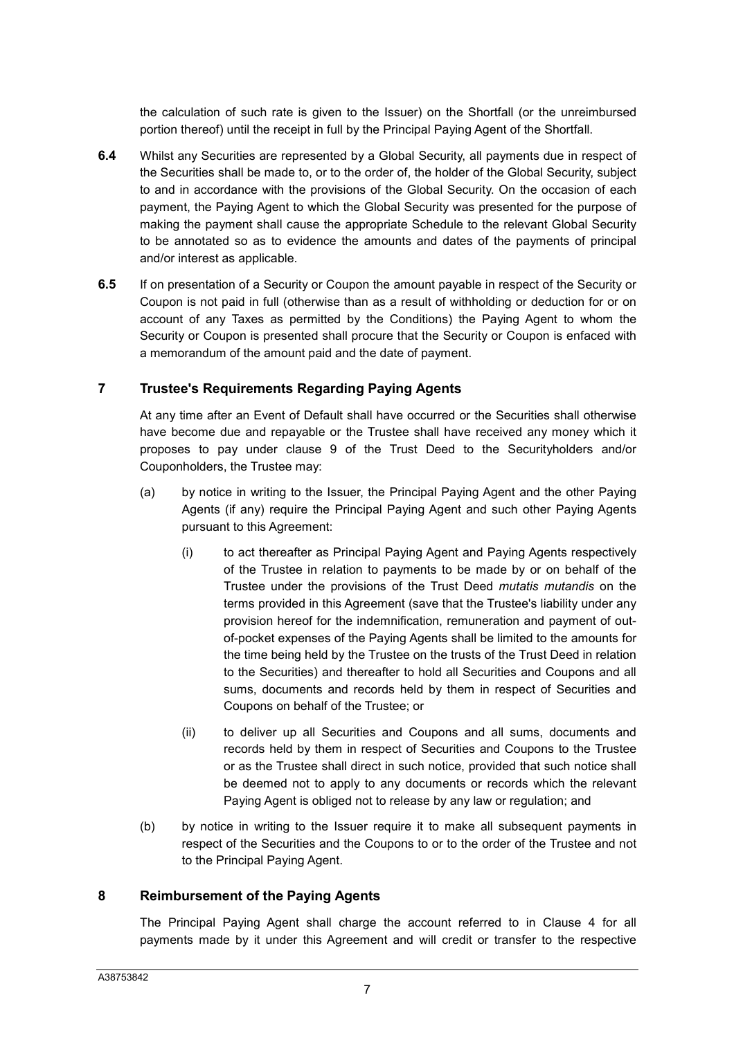the calculation of such rate is given to the Issuer) on the Shortfall (or the unreimbursed portion thereof) until the receipt in full by the Principal Paying Agent of the Shortfall.

- **6.4** Whilst any Securities are represented by a Global Security, all payments due in respect of the Securities shall be made to, or to the order of, the holder of the Global Security, subject to and in accordance with the provisions of the Global Security. On the occasion of each payment, the Paying Agent to which the Global Security was presented for the purpose of making the payment shall cause the appropriate Schedule to the relevant Global Security to be annotated so as to evidence the amounts and dates of the payments of principal and/or interest as applicable.
- **6.5** If on presentation of a Security or Coupon the amount payable in respect of the Security or Coupon is not paid in full (otherwise than as a result of withholding or deduction for or on account of any Taxes as permitted by the Conditions) the Paying Agent to whom the Security or Coupon is presented shall procure that the Security or Coupon is enfaced with a memorandum of the amount paid and the date of payment.

## **7 Trustee's Requirements Regarding Paying Agents**

At any time after an Event of Default shall have occurred or the Securities shall otherwise have become due and repayable or the Trustee shall have received any money which it proposes to pay under clause 9 of the Trust Deed to the Securityholders and/or Couponholders, the Trustee may:

- (a) by notice in writing to the Issuer, the Principal Paying Agent and the other Paying Agents (if any) require the Principal Paying Agent and such other Paying Agents pursuant to this Agreement:
	- (i) to act thereafter as Principal Paying Agent and Paying Agents respectively of the Trustee in relation to payments to be made by or on behalf of the Trustee under the provisions of the Trust Deed *mutatis mutandis* on the terms provided in this Agreement (save that the Trustee's liability under any provision hereof for the indemnification, remuneration and payment of outof-pocket expenses of the Paying Agents shall be limited to the amounts for the time being held by the Trustee on the trusts of the Trust Deed in relation to the Securities) and thereafter to hold all Securities and Coupons and all sums, documents and records held by them in respect of Securities and Coupons on behalf of the Trustee; or
	- (ii) to deliver up all Securities and Coupons and all sums, documents and records held by them in respect of Securities and Coupons to the Trustee or as the Trustee shall direct in such notice, provided that such notice shall be deemed not to apply to any documents or records which the relevant Paying Agent is obliged not to release by any law or regulation; and
- (b) by notice in writing to the Issuer require it to make all subsequent payments in respect of the Securities and the Coupons to or to the order of the Trustee and not to the Principal Paying Agent.

## **8 Reimbursement of the Paying Agents**

The Principal Paying Agent shall charge the account referred to in Clause 4 for all payments made by it under this Agreement and will credit or transfer to the respective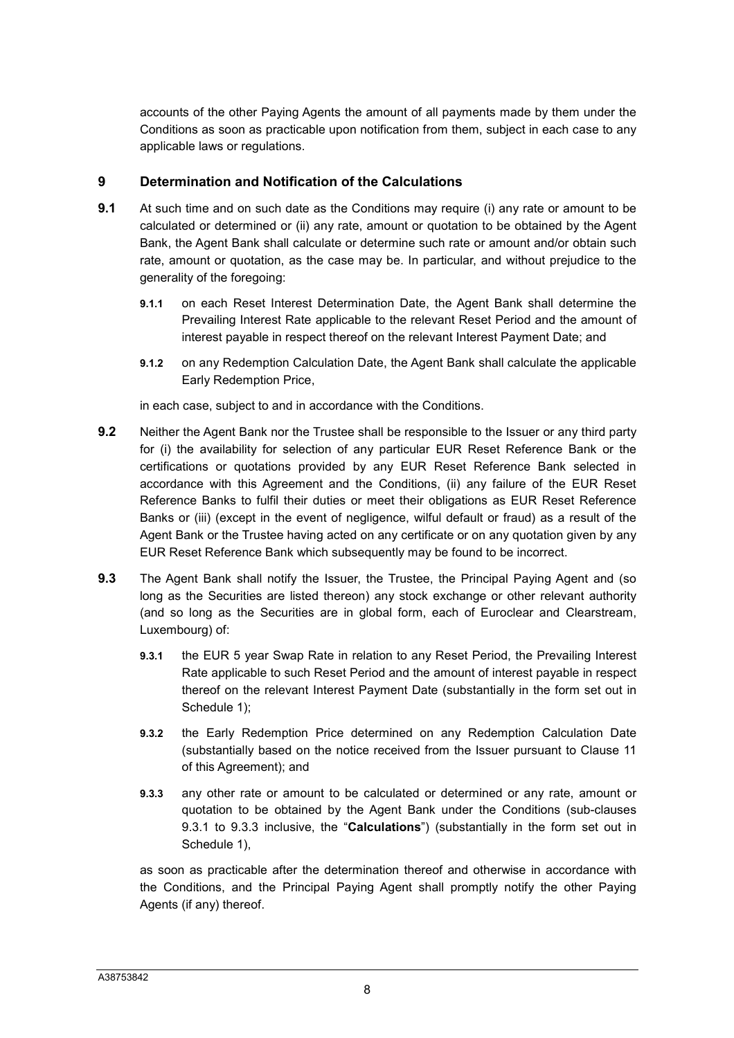accounts of the other Paying Agents the amount of all payments made by them under the Conditions as soon as practicable upon notification from them, subject in each case to any applicable laws or regulations.

#### **9 Determination and Notification of the Calculations**

- **9.1** At such time and on such date as the Conditions may require (i) any rate or amount to be calculated or determined or (ii) any rate, amount or quotation to be obtained by the Agent Bank, the Agent Bank shall calculate or determine such rate or amount and/or obtain such rate, amount or quotation, as the case may be. In particular, and without prejudice to the generality of the foregoing:
	- **9.1.1** on each Reset Interest Determination Date, the Agent Bank shall determine the Prevailing Interest Rate applicable to the relevant Reset Period and the amount of interest payable in respect thereof on the relevant Interest Payment Date; and
	- **9.1.2** on any Redemption Calculation Date, the Agent Bank shall calculate the applicable Early Redemption Price,

in each case, subject to and in accordance with the Conditions.

- **9.2** Neither the Agent Bank nor the Trustee shall be responsible to the Issuer or any third party for (i) the availability for selection of any particular EUR Reset Reference Bank or the certifications or quotations provided by any EUR Reset Reference Bank selected in accordance with this Agreement and the Conditions, (ii) any failure of the EUR Reset Reference Banks to fulfil their duties or meet their obligations as EUR Reset Reference Banks or (iii) (except in the event of negligence, wilful default or fraud) as a result of the Agent Bank or the Trustee having acted on any certificate or on any quotation given by any EUR Reset Reference Bank which subsequently may be found to be incorrect.
- **9.3** The Agent Bank shall notify the Issuer, the Trustee, the Principal Paying Agent and (so long as the Securities are listed thereon) any stock exchange or other relevant authority (and so long as the Securities are in global form, each of Euroclear and Clearstream, Luxembourg) of:
	- **9.3.1** the EUR 5 year Swap Rate in relation to any Reset Period, the Prevailing Interest Rate applicable to such Reset Period and the amount of interest payable in respect thereof on the relevant Interest Payment Date (substantially in the form set out in Schedule 1);
	- **9.3.2** the Early Redemption Price determined on any Redemption Calculation Date (substantially based on the notice received from the Issuer pursuant to Clause 11 of this Agreement); and
	- **9.3.3** any other rate or amount to be calculated or determined or any rate, amount or quotation to be obtained by the Agent Bank under the Conditions (sub-clauses 9.3.1 to 9.3.3 inclusive, the "**Calculations**") (substantially in the form set out in Schedule 1).

as soon as practicable after the determination thereof and otherwise in accordance with the Conditions, and the Principal Paying Agent shall promptly notify the other Paying Agents (if any) thereof.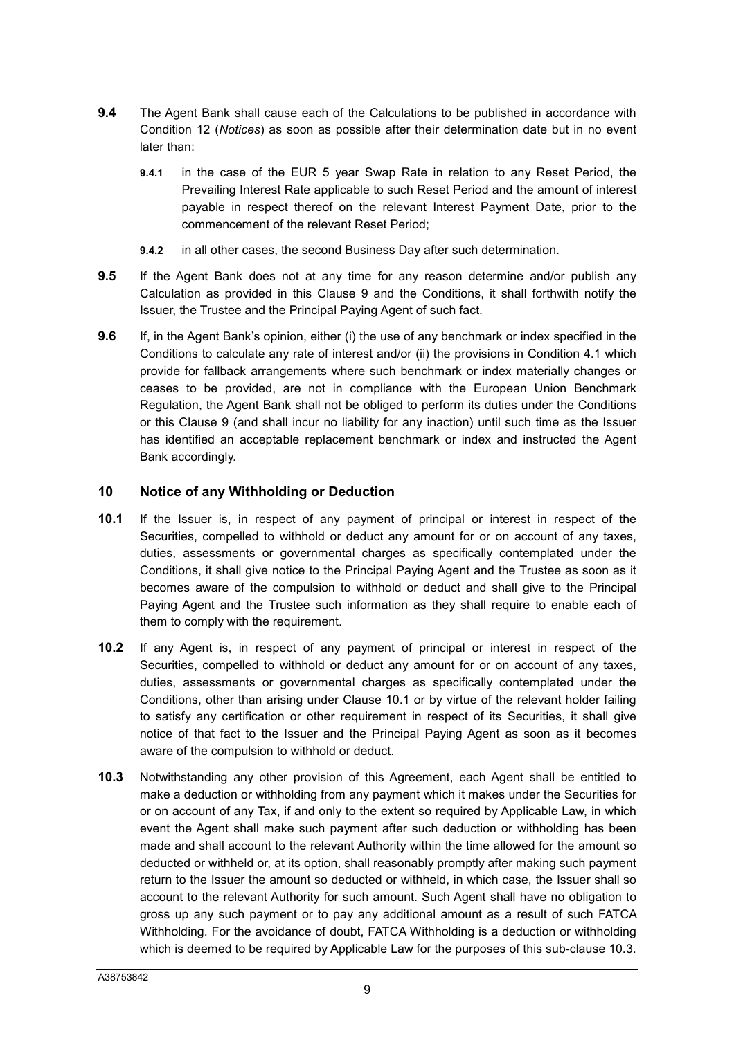- **9.4** The Agent Bank shall cause each of the Calculations to be published in accordance with Condition 12 (*Notices*) as soon as possible after their determination date but in no event later than:
	- **9.4.1** in the case of the EUR 5 year Swap Rate in relation to any Reset Period, the Prevailing Interest Rate applicable to such Reset Period and the amount of interest payable in respect thereof on the relevant Interest Payment Date, prior to the commencement of the relevant Reset Period;
	- **9.4.2** in all other cases, the second Business Day after such determination.
- **9.5** If the Agent Bank does not at any time for any reason determine and/or publish any Calculation as provided in this Clause 9 and the Conditions, it shall forthwith notify the Issuer, the Trustee and the Principal Paying Agent of such fact.
- **9.6** If, in the Agent Bank's opinion, either (i) the use of any benchmark or index specified in the Conditions to calculate any rate of interest and/or (ii) the provisions in Condition 4.1 which provide for fallback arrangements where such benchmark or index materially changes or ceases to be provided, are not in compliance with the European Union Benchmark Regulation, the Agent Bank shall not be obliged to perform its duties under the Conditions or this Clause 9 (and shall incur no liability for any inaction) until such time as the Issuer has identified an acceptable replacement benchmark or index and instructed the Agent Bank accordingly.

### **10 Notice of any Withholding or Deduction**

- **10.1** If the Issuer is, in respect of any payment of principal or interest in respect of the Securities, compelled to withhold or deduct any amount for or on account of any taxes, duties, assessments or governmental charges as specifically contemplated under the Conditions, it shall give notice to the Principal Paying Agent and the Trustee as soon as it becomes aware of the compulsion to withhold or deduct and shall give to the Principal Paying Agent and the Trustee such information as they shall require to enable each of them to comply with the requirement.
- **10.2** If any Agent is, in respect of any payment of principal or interest in respect of the Securities, compelled to withhold or deduct any amount for or on account of any taxes, duties, assessments or governmental charges as specifically contemplated under the Conditions, other than arising under Clause 10.1 or by virtue of the relevant holder failing to satisfy any certification or other requirement in respect of its Securities, it shall give notice of that fact to the Issuer and the Principal Paying Agent as soon as it becomes aware of the compulsion to withhold or deduct.
- **10.3** Notwithstanding any other provision of this Agreement, each Agent shall be entitled to make a deduction or withholding from any payment which it makes under the Securities for or on account of any Tax, if and only to the extent so required by Applicable Law, in which event the Agent shall make such payment after such deduction or withholding has been made and shall account to the relevant Authority within the time allowed for the amount so deducted or withheld or, at its option, shall reasonably promptly after making such payment return to the Issuer the amount so deducted or withheld, in which case, the Issuer shall so account to the relevant Authority for such amount. Such Agent shall have no obligation to gross up any such payment or to pay any additional amount as a result of such FATCA Withholding. For the avoidance of doubt, FATCA Withholding is a deduction or withholding which is deemed to be required by Applicable Law for the purposes of this sub-clause 10.3.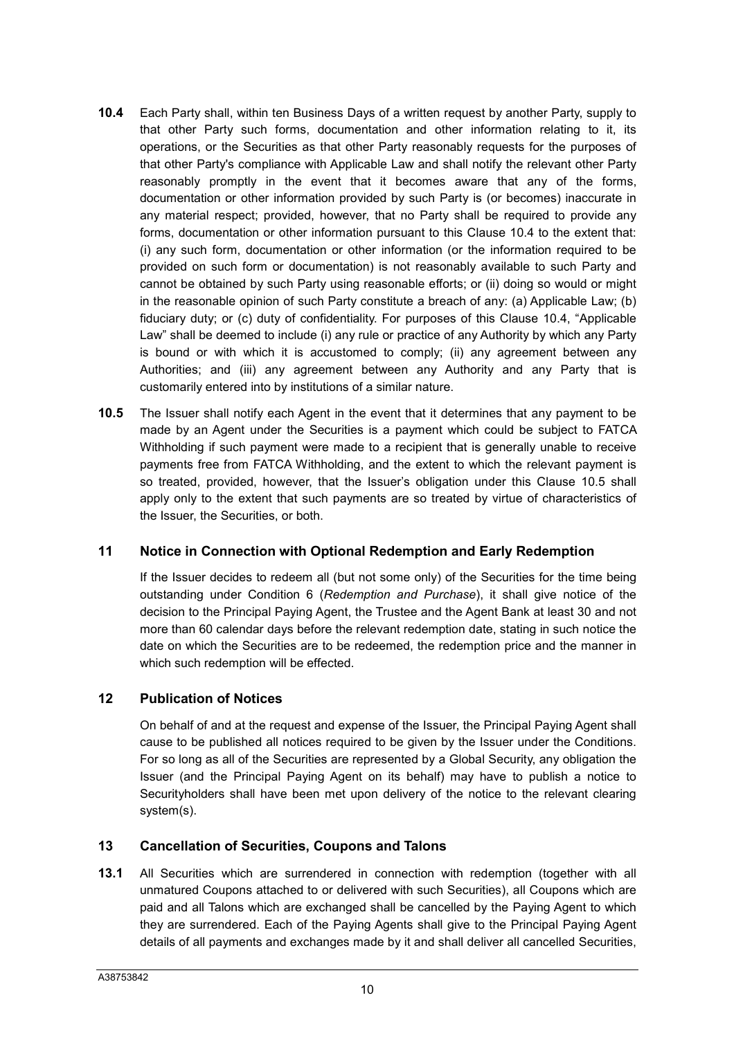- **10.4** Each Party shall, within ten Business Days of a written request by another Party, supply to that other Party such forms, documentation and other information relating to it, its operations, or the Securities as that other Party reasonably requests for the purposes of that other Party's compliance with Applicable Law and shall notify the relevant other Party reasonably promptly in the event that it becomes aware that any of the forms, documentation or other information provided by such Party is (or becomes) inaccurate in any material respect; provided, however, that no Party shall be required to provide any forms, documentation or other information pursuant to this Clause 10.4 to the extent that: (i) any such form, documentation or other information (or the information required to be provided on such form or documentation) is not reasonably available to such Party and cannot be obtained by such Party using reasonable efforts; or (ii) doing so would or might in the reasonable opinion of such Party constitute a breach of any: (a) Applicable Law; (b) fiduciary duty; or (c) duty of confidentiality. For purposes of this Clause 10.4, "Applicable Law" shall be deemed to include (i) any rule or practice of any Authority by which any Party is bound or with which it is accustomed to comply; (ii) any agreement between any Authorities; and (iii) any agreement between any Authority and any Party that is customarily entered into by institutions of a similar nature.
- **10.5** The Issuer shall notify each Agent in the event that it determines that any payment to be made by an Agent under the Securities is a payment which could be subject to FATCA Withholding if such payment were made to a recipient that is generally unable to receive payments free from FATCA Withholding, and the extent to which the relevant payment is so treated, provided, however, that the Issuer's obligation under this Clause 10.5 shall apply only to the extent that such payments are so treated by virtue of characteristics of the Issuer, the Securities, or both.

#### **11 Notice in Connection with Optional Redemption and Early Redemption**

If the Issuer decides to redeem all (but not some only) of the Securities for the time being outstanding under Condition 6 (*Redemption and Purchase*), it shall give notice of the decision to the Principal Paying Agent, the Trustee and the Agent Bank at least 30 and not more than 60 calendar days before the relevant redemption date, stating in such notice the date on which the Securities are to be redeemed, the redemption price and the manner in which such redemption will be effected.

#### **12 Publication of Notices**

On behalf of and at the request and expense of the Issuer, the Principal Paying Agent shall cause to be published all notices required to be given by the Issuer under the Conditions. For so long as all of the Securities are represented by a Global Security, any obligation the Issuer (and the Principal Paying Agent on its behalf) may have to publish a notice to Securityholders shall have been met upon delivery of the notice to the relevant clearing system(s).

#### **13 Cancellation of Securities, Coupons and Talons**

**13.1** All Securities which are surrendered in connection with redemption (together with all unmatured Coupons attached to or delivered with such Securities), all Coupons which are paid and all Talons which are exchanged shall be cancelled by the Paying Agent to which they are surrendered. Each of the Paying Agents shall give to the Principal Paying Agent details of all payments and exchanges made by it and shall deliver all cancelled Securities,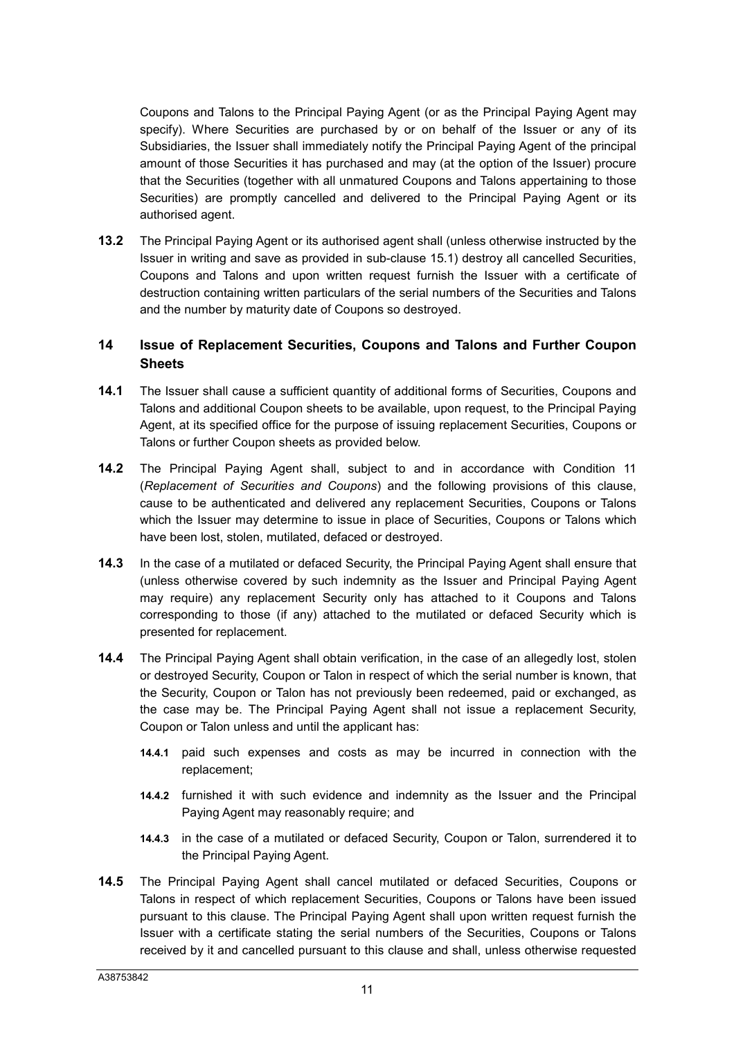Coupons and Talons to the Principal Paying Agent (or as the Principal Paying Agent may specify). Where Securities are purchased by or on behalf of the Issuer or any of its Subsidiaries, the Issuer shall immediately notify the Principal Paying Agent of the principal amount of those Securities it has purchased and may (at the option of the Issuer) procure that the Securities (together with all unmatured Coupons and Talons appertaining to those Securities) are promptly cancelled and delivered to the Principal Paying Agent or its authorised agent.

**13.2** The Principal Paying Agent or its authorised agent shall (unless otherwise instructed by the Issuer in writing and save as provided in sub-clause 15.1) destroy all cancelled Securities, Coupons and Talons and upon written request furnish the Issuer with a certificate of destruction containing written particulars of the serial numbers of the Securities and Talons and the number by maturity date of Coupons so destroyed.

## **14 Issue of Replacement Securities, Coupons and Talons and Further Coupon Sheets**

- **14.1** The Issuer shall cause a sufficient quantity of additional forms of Securities, Coupons and Talons and additional Coupon sheets to be available, upon request, to the Principal Paying Agent, at its specified office for the purpose of issuing replacement Securities, Coupons or Talons or further Coupon sheets as provided below.
- **14.2** The Principal Paying Agent shall, subject to and in accordance with Condition 11 (*Replacement of Securities and Coupons*) and the following provisions of this clause, cause to be authenticated and delivered any replacement Securities, Coupons or Talons which the Issuer may determine to issue in place of Securities, Coupons or Talons which have been lost, stolen, mutilated, defaced or destroyed.
- **14.3** In the case of a mutilated or defaced Security, the Principal Paying Agent shall ensure that (unless otherwise covered by such indemnity as the Issuer and Principal Paying Agent may require) any replacement Security only has attached to it Coupons and Talons corresponding to those (if any) attached to the mutilated or defaced Security which is presented for replacement.
- **14.4** The Principal Paying Agent shall obtain verification, in the case of an allegedly lost, stolen or destroyed Security, Coupon or Talon in respect of which the serial number is known, that the Security, Coupon or Talon has not previously been redeemed, paid or exchanged, as the case may be. The Principal Paying Agent shall not issue a replacement Security, Coupon or Talon unless and until the applicant has:
	- **14.4.1** paid such expenses and costs as may be incurred in connection with the replacement;
	- **14.4.2** furnished it with such evidence and indemnity as the Issuer and the Principal Paying Agent may reasonably require; and
	- **14.4.3** in the case of a mutilated or defaced Security, Coupon or Talon, surrendered it to the Principal Paying Agent.
- **14.5** The Principal Paying Agent shall cancel mutilated or defaced Securities, Coupons or Talons in respect of which replacement Securities, Coupons or Talons have been issued pursuant to this clause. The Principal Paying Agent shall upon written request furnish the Issuer with a certificate stating the serial numbers of the Securities, Coupons or Talons received by it and cancelled pursuant to this clause and shall, unless otherwise requested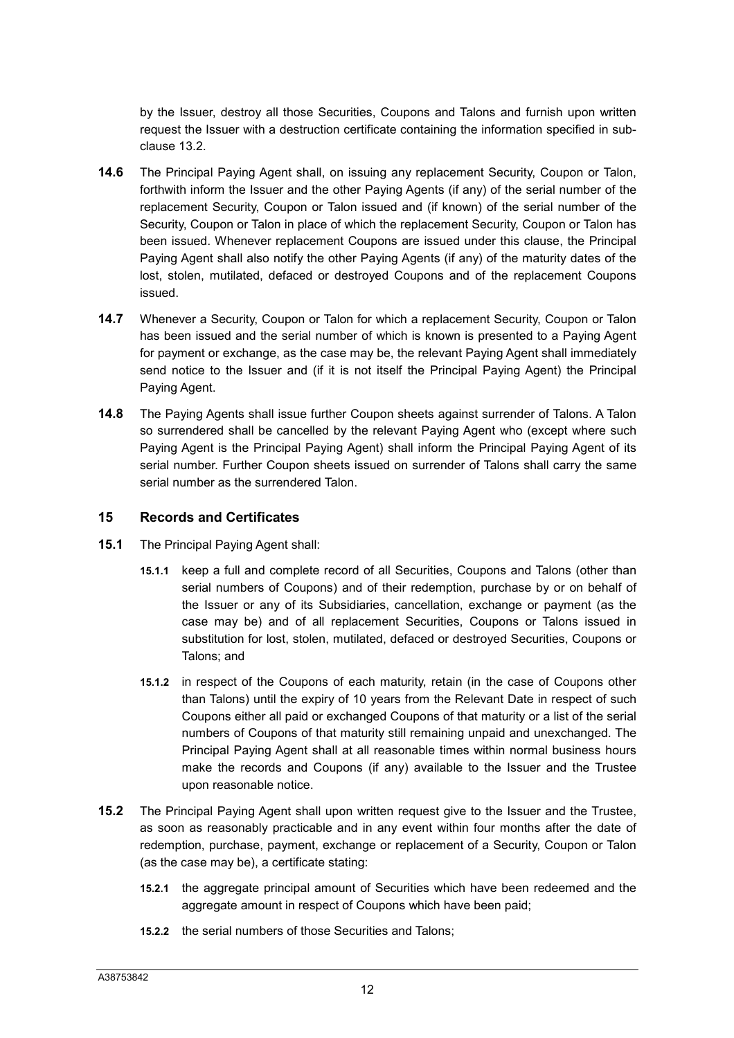by the Issuer, destroy all those Securities, Coupons and Talons and furnish upon written request the Issuer with a destruction certificate containing the information specified in subclause 13.2.

- **14.6** The Principal Paying Agent shall, on issuing any replacement Security, Coupon or Talon, forthwith inform the Issuer and the other Paying Agents (if any) of the serial number of the replacement Security, Coupon or Talon issued and (if known) of the serial number of the Security, Coupon or Talon in place of which the replacement Security, Coupon or Talon has been issued. Whenever replacement Coupons are issued under this clause, the Principal Paying Agent shall also notify the other Paying Agents (if any) of the maturity dates of the lost, stolen, mutilated, defaced or destroyed Coupons and of the replacement Coupons issued.
- **14.7** Whenever a Security, Coupon or Talon for which a replacement Security, Coupon or Talon has been issued and the serial number of which is known is presented to a Paying Agent for payment or exchange, as the case may be, the relevant Paying Agent shall immediately send notice to the Issuer and (if it is not itself the Principal Paying Agent) the Principal Paying Agent.
- **14.8** The Paying Agents shall issue further Coupon sheets against surrender of Talons. A Talon so surrendered shall be cancelled by the relevant Paying Agent who (except where such Paying Agent is the Principal Paying Agent) shall inform the Principal Paying Agent of its serial number. Further Coupon sheets issued on surrender of Talons shall carry the same serial number as the surrendered Talon.

#### **15 Records and Certificates**

- **15.1** The Principal Paying Agent shall:
	- **15.1.1** keep a full and complete record of all Securities, Coupons and Talons (other than serial numbers of Coupons) and of their redemption, purchase by or on behalf of the Issuer or any of its Subsidiaries, cancellation, exchange or payment (as the case may be) and of all replacement Securities, Coupons or Talons issued in substitution for lost, stolen, mutilated, defaced or destroyed Securities, Coupons or Talons; and
	- **15.1.2** in respect of the Coupons of each maturity, retain (in the case of Coupons other than Talons) until the expiry of 10 years from the Relevant Date in respect of such Coupons either all paid or exchanged Coupons of that maturity or a list of the serial numbers of Coupons of that maturity still remaining unpaid and unexchanged. The Principal Paying Agent shall at all reasonable times within normal business hours make the records and Coupons (if any) available to the Issuer and the Trustee upon reasonable notice.
- **15.2** The Principal Paying Agent shall upon written request give to the Issuer and the Trustee, as soon as reasonably practicable and in any event within four months after the date of redemption, purchase, payment, exchange or replacement of a Security, Coupon or Talon (as the case may be), a certificate stating:
	- **15.2.1** the aggregate principal amount of Securities which have been redeemed and the aggregate amount in respect of Coupons which have been paid;
	- **15.2.2** the serial numbers of those Securities and Talons;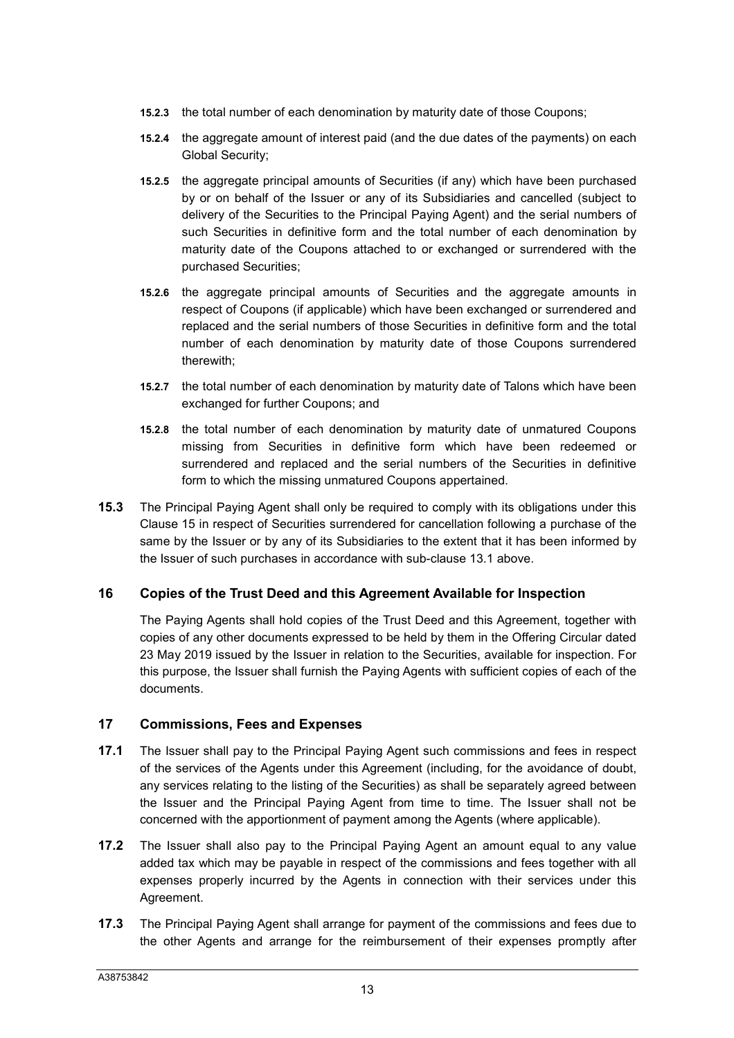- **15.2.3** the total number of each denomination by maturity date of those Coupons;
- **15.2.4** the aggregate amount of interest paid (and the due dates of the payments) on each Global Security;
- **15.2.5** the aggregate principal amounts of Securities (if any) which have been purchased by or on behalf of the Issuer or any of its Subsidiaries and cancelled (subject to delivery of the Securities to the Principal Paying Agent) and the serial numbers of such Securities in definitive form and the total number of each denomination by maturity date of the Coupons attached to or exchanged or surrendered with the purchased Securities;
- **15.2.6** the aggregate principal amounts of Securities and the aggregate amounts in respect of Coupons (if applicable) which have been exchanged or surrendered and replaced and the serial numbers of those Securities in definitive form and the total number of each denomination by maturity date of those Coupons surrendered therewith;
- **15.2.7** the total number of each denomination by maturity date of Talons which have been exchanged for further Coupons; and
- **15.2.8** the total number of each denomination by maturity date of unmatured Coupons missing from Securities in definitive form which have been redeemed or surrendered and replaced and the serial numbers of the Securities in definitive form to which the missing unmatured Coupons appertained.
- **15.3** The Principal Paying Agent shall only be required to comply with its obligations under this Clause 15 in respect of Securities surrendered for cancellation following a purchase of the same by the Issuer or by any of its Subsidiaries to the extent that it has been informed by the Issuer of such purchases in accordance with sub-clause 13.1 above.

#### **16 Copies of the Trust Deed and this Agreement Available for Inspection**

The Paying Agents shall hold copies of the Trust Deed and this Agreement, together with copies of any other documents expressed to be held by them in the Offering Circular dated 23 May 2019 issued by the Issuer in relation to the Securities, available for inspection. For this purpose, the Issuer shall furnish the Paying Agents with sufficient copies of each of the documents.

#### **17 Commissions, Fees and Expenses**

- **17.1** The Issuer shall pay to the Principal Paying Agent such commissions and fees in respect of the services of the Agents under this Agreement (including, for the avoidance of doubt, any services relating to the listing of the Securities) as shall be separately agreed between the Issuer and the Principal Paying Agent from time to time. The Issuer shall not be concerned with the apportionment of payment among the Agents (where applicable).
- **17.2** The Issuer shall also pay to the Principal Paying Agent an amount equal to any value added tax which may be payable in respect of the commissions and fees together with all expenses properly incurred by the Agents in connection with their services under this Agreement.
- **17.3** The Principal Paying Agent shall arrange for payment of the commissions and fees due to the other Agents and arrange for the reimbursement of their expenses promptly after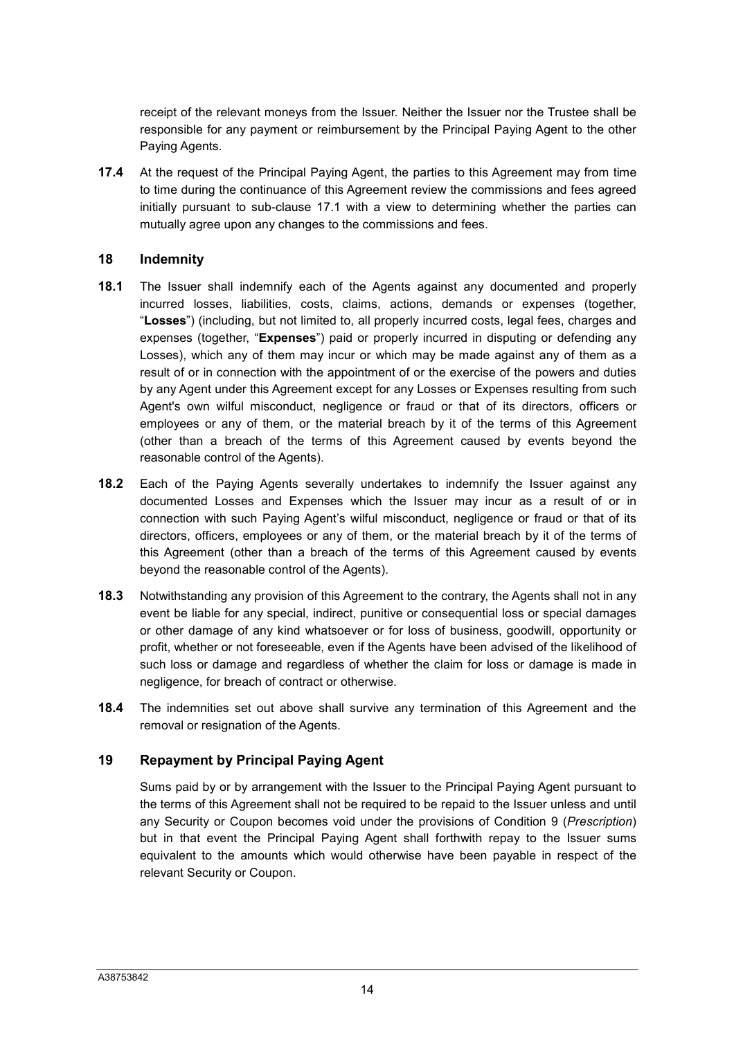receipt of the relevant moneys from the Issuer. Neither the Issuer nor the Trustee shall be responsible for any payment or reimbursement by the Principal Paying Agent to the other Paying Agents.

**17.4** At the request of the Principal Paying Agent, the parties to this Agreement may from time to time during the continuance of this Agreement review the commissions and fees agreed initially pursuant to sub-clause 17.1 with a view to determining whether the parties can mutually agree upon any changes to the commissions and fees.

#### **18 Indemnity**

- **18.1** The Issuer shall indemnify each of the Agents against any documented and properly incurred losses, liabilities, costs, claims, actions, demands or expenses (together, "**Losses**") (including, but not limited to, all properly incurred costs, legal fees, charges and expenses (together, "**Expenses**") paid or properly incurred in disputing or defending any Losses), which any of them may incur or which may be made against any of them as a result of or in connection with the appointment of or the exercise of the powers and duties by any Agent under this Agreement except for any Losses or Expenses resulting from such Agent's own wilful misconduct, negligence or fraud or that of its directors, officers or employees or any of them, or the material breach by it of the terms of this Agreement (other than a breach of the terms of this Agreement caused by events beyond the reasonable control of the Agents).
- **18.2** Each of the Paying Agents severally undertakes to indemnify the Issuer against any documented Losses and Expenses which the Issuer may incur as a result of or in connection with such Paying Agent's wilful misconduct, negligence or fraud or that of its directors, officers, employees or any of them, or the material breach by it of the terms of this Agreement (other than a breach of the terms of this Agreement caused by events beyond the reasonable control of the Agents).
- **18.3** Notwithstanding any provision of this Agreement to the contrary, the Agents shall not in any event be liable for any special, indirect, punitive or consequential loss or special damages or other damage of any kind whatsoever or for loss of business, goodwill, opportunity or profit, whether or not foreseeable, even if the Agents have been advised of the likelihood of such loss or damage and regardless of whether the claim for loss or damage is made in negligence, for breach of contract or otherwise.
- **18.4** The indemnities set out above shall survive any termination of this Agreement and the removal or resignation of the Agents.

#### **19 Repayment by Principal Paying Agent**

Sums paid by or by arrangement with the Issuer to the Principal Paying Agent pursuant to the terms of this Agreement shall not be required to be repaid to the Issuer unless and until any Security or Coupon becomes void under the provisions of Condition 9 (*Prescription*) but in that event the Principal Paying Agent shall forthwith repay to the Issuer sums equivalent to the amounts which would otherwise have been payable in respect of the relevant Security or Coupon.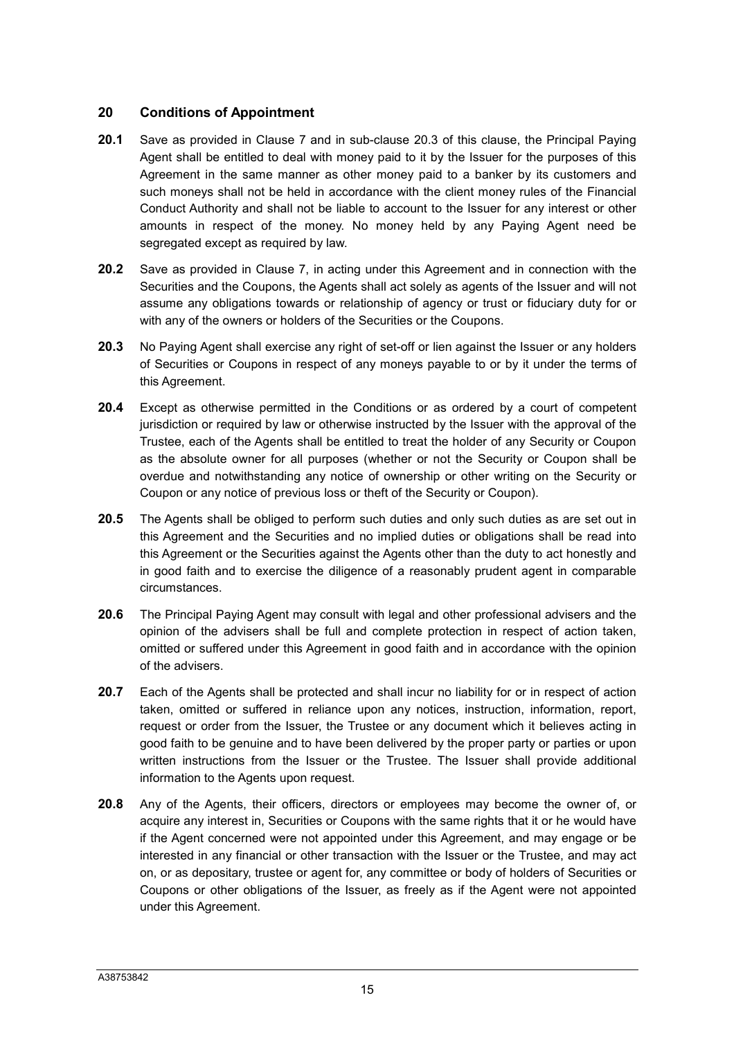### **20 Conditions of Appointment**

- **20.1** Save as provided in Clause 7 and in sub-clause 20.3 of this clause, the Principal Paying Agent shall be entitled to deal with money paid to it by the Issuer for the purposes of this Agreement in the same manner as other money paid to a banker by its customers and such moneys shall not be held in accordance with the client money rules of the Financial Conduct Authority and shall not be liable to account to the Issuer for any interest or other amounts in respect of the money. No money held by any Paying Agent need be segregated except as required by law.
- **20.2** Save as provided in Clause 7, in acting under this Agreement and in connection with the Securities and the Coupons, the Agents shall act solely as agents of the Issuer and will not assume any obligations towards or relationship of agency or trust or fiduciary duty for or with any of the owners or holders of the Securities or the Coupons.
- **20.3** No Paying Agent shall exercise any right of set-off or lien against the Issuer or any holders of Securities or Coupons in respect of any moneys payable to or by it under the terms of this Agreement.
- **20.4** Except as otherwise permitted in the Conditions or as ordered by a court of competent jurisdiction or required by law or otherwise instructed by the Issuer with the approval of the Trustee, each of the Agents shall be entitled to treat the holder of any Security or Coupon as the absolute owner for all purposes (whether or not the Security or Coupon shall be overdue and notwithstanding any notice of ownership or other writing on the Security or Coupon or any notice of previous loss or theft of the Security or Coupon).
- **20.5** The Agents shall be obliged to perform such duties and only such duties as are set out in this Agreement and the Securities and no implied duties or obligations shall be read into this Agreement or the Securities against the Agents other than the duty to act honestly and in good faith and to exercise the diligence of a reasonably prudent agent in comparable circumstances.
- **20.6** The Principal Paying Agent may consult with legal and other professional advisers and the opinion of the advisers shall be full and complete protection in respect of action taken, omitted or suffered under this Agreement in good faith and in accordance with the opinion of the advisers.
- **20.7** Each of the Agents shall be protected and shall incur no liability for or in respect of action taken, omitted or suffered in reliance upon any notices, instruction, information, report, request or order from the Issuer, the Trustee or any document which it believes acting in good faith to be genuine and to have been delivered by the proper party or parties or upon written instructions from the Issuer or the Trustee. The Issuer shall provide additional information to the Agents upon request.
- **20.8** Any of the Agents, their officers, directors or employees may become the owner of, or acquire any interest in, Securities or Coupons with the same rights that it or he would have if the Agent concerned were not appointed under this Agreement, and may engage or be interested in any financial or other transaction with the Issuer or the Trustee, and may act on, or as depositary, trustee or agent for, any committee or body of holders of Securities or Coupons or other obligations of the Issuer, as freely as if the Agent were not appointed under this Agreement.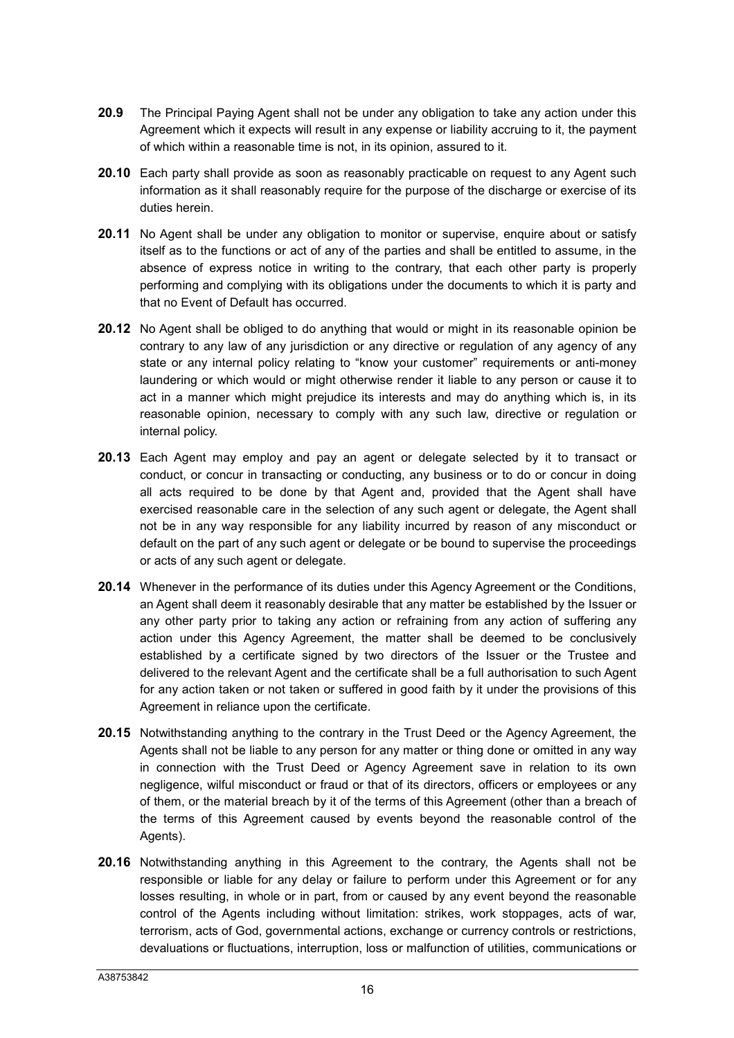- **20.9** The Principal Paying Agent shall not be under any obligation to take any action under this Agreement which it expects will result in any expense or liability accruing to it, the payment of which within a reasonable time is not, in its opinion, assured to it.
- **20.10** Each party shall provide as soon as reasonably practicable on request to any Agent such information as it shall reasonably require for the purpose of the discharge or exercise of its duties herein.
- **20.11** No Agent shall be under any obligation to monitor or supervise, enquire about or satisfy itself as to the functions or act of any of the parties and shall be entitled to assume, in the absence of express notice in writing to the contrary, that each other party is properly performing and complying with its obligations under the documents to which it is party and that no Event of Default has occurred.
- **20.12** No Agent shall be obliged to do anything that would or might in its reasonable opinion be contrary to any law of any jurisdiction or any directive or regulation of any agency of any state or any internal policy relating to "know your customer" requirements or anti-money laundering or which would or might otherwise render it liable to any person or cause it to act in a manner which might prejudice its interests and may do anything which is, in its reasonable opinion, necessary to comply with any such law, directive or regulation or internal policy.
- **20.13** Each Agent may employ and pay an agent or delegate selected by it to transact or conduct, or concur in transacting or conducting, any business or to do or concur in doing all acts required to be done by that Agent and, provided that the Agent shall have exercised reasonable care in the selection of any such agent or delegate, the Agent shall not be in any way responsible for any liability incurred by reason of any misconduct or default on the part of any such agent or delegate or be bound to supervise the proceedings or acts of any such agent or delegate.
- **20.14** Whenever in the performance of its duties under this Agency Agreement or the Conditions, an Agent shall deem it reasonably desirable that any matter be established by the Issuer or any other party prior to taking any action or refraining from any action of suffering any action under this Agency Agreement, the matter shall be deemed to be conclusively established by a certificate signed by two directors of the Issuer or the Trustee and delivered to the relevant Agent and the certificate shall be a full authorisation to such Agent for any action taken or not taken or suffered in good faith by it under the provisions of this Agreement in reliance upon the certificate.
- **20.15** Notwithstanding anything to the contrary in the Trust Deed or the Agency Agreement, the Agents shall not be liable to any person for any matter or thing done or omitted in any way in connection with the Trust Deed or Agency Agreement save in relation to its own negligence, wilful misconduct or fraud or that of its directors, officers or employees or any of them, or the material breach by it of the terms of this Agreement (other than a breach of the terms of this Agreement caused by events beyond the reasonable control of the Agents).
- **20.16** Notwithstanding anything in this Agreement to the contrary, the Agents shall not be responsible or liable for any delay or failure to perform under this Agreement or for any losses resulting, in whole or in part, from or caused by any event beyond the reasonable control of the Agents including without limitation: strikes, work stoppages, acts of war, terrorism, acts of God, governmental actions, exchange or currency controls or restrictions, devaluations or fluctuations, interruption, loss or malfunction of utilities, communications or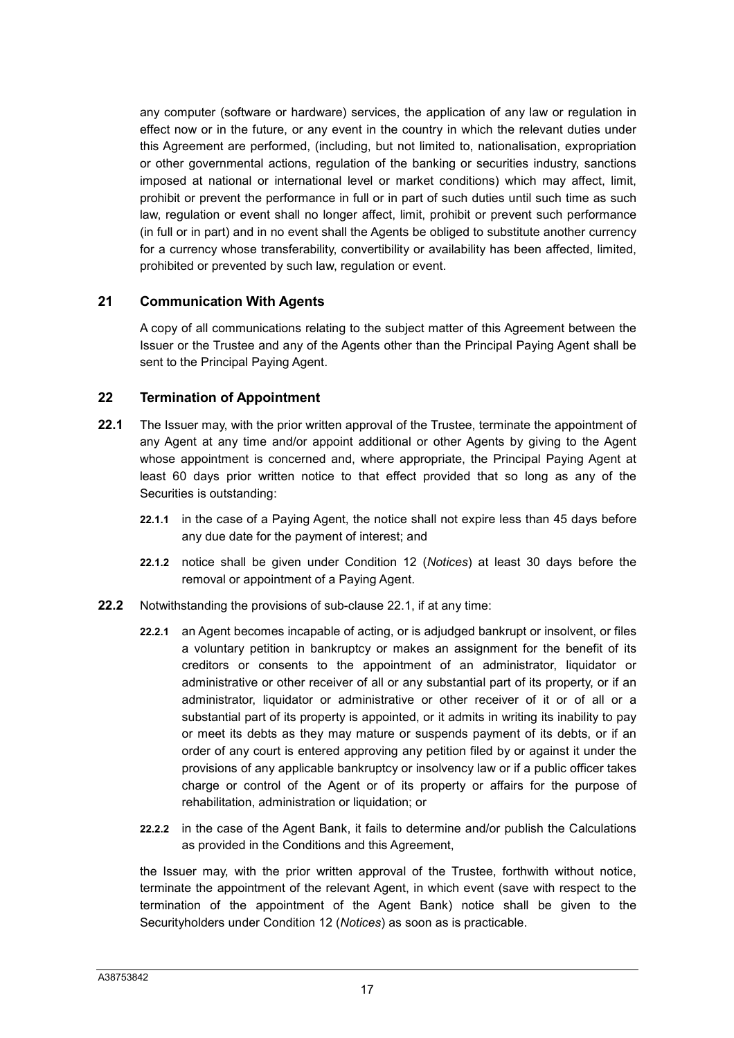any computer (software or hardware) services, the application of any law or regulation in effect now or in the future, or any event in the country in which the relevant duties under this Agreement are performed, (including, but not limited to, nationalisation, expropriation or other governmental actions, regulation of the banking or securities industry, sanctions imposed at national or international level or market conditions) which may affect, limit, prohibit or prevent the performance in full or in part of such duties until such time as such law, regulation or event shall no longer affect, limit, prohibit or prevent such performance (in full or in part) and in no event shall the Agents be obliged to substitute another currency for a currency whose transferability, convertibility or availability has been affected, limited, prohibited or prevented by such law, regulation or event.

#### **21 Communication With Agents**

A copy of all communications relating to the subject matter of this Agreement between the Issuer or the Trustee and any of the Agents other than the Principal Paying Agent shall be sent to the Principal Paying Agent.

### **22 Termination of Appointment**

- **22.1** The Issuer may, with the prior written approval of the Trustee, terminate the appointment of any Agent at any time and/or appoint additional or other Agents by giving to the Agent whose appointment is concerned and, where appropriate, the Principal Paying Agent at least 60 days prior written notice to that effect provided that so long as any of the Securities is outstanding:
	- **22.1.1** in the case of a Paying Agent, the notice shall not expire less than 45 days before any due date for the payment of interest; and
	- **22.1.2** notice shall be given under Condition 12 (*Notices*) at least 30 days before the removal or appointment of a Paying Agent.
- **22.2** Notwithstanding the provisions of sub-clause 22.1, if at any time:
	- **22.2.1** an Agent becomes incapable of acting, or is adjudged bankrupt or insolvent, or files a voluntary petition in bankruptcy or makes an assignment for the benefit of its creditors or consents to the appointment of an administrator, liquidator or administrative or other receiver of all or any substantial part of its property, or if an administrator, liquidator or administrative or other receiver of it or of all or a substantial part of its property is appointed, or it admits in writing its inability to pay or meet its debts as they may mature or suspends payment of its debts, or if an order of any court is entered approving any petition filed by or against it under the provisions of any applicable bankruptcy or insolvency law or if a public officer takes charge or control of the Agent or of its property or affairs for the purpose of rehabilitation, administration or liquidation; or
	- **22.2.2** in the case of the Agent Bank, it fails to determine and/or publish the Calculations as provided in the Conditions and this Agreement,

the Issuer may, with the prior written approval of the Trustee, forthwith without notice, terminate the appointment of the relevant Agent, in which event (save with respect to the termination of the appointment of the Agent Bank) notice shall be given to the Securityholders under Condition 12 (*Notices*) as soon as is practicable.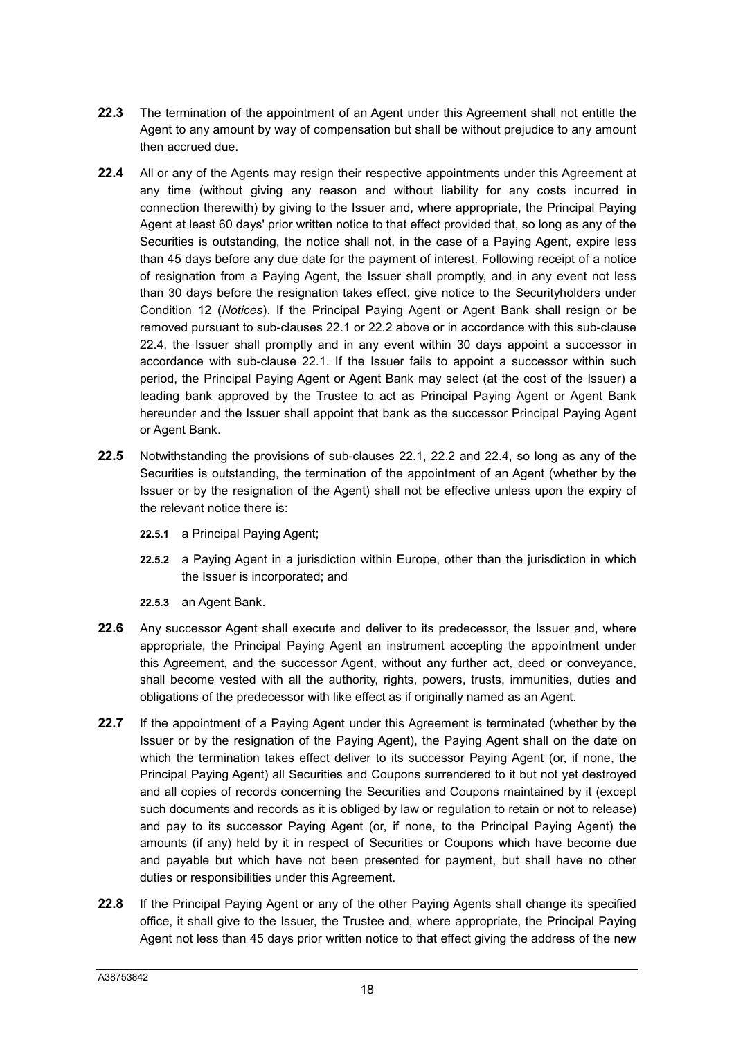- **22.3** The termination of the appointment of an Agent under this Agreement shall not entitle the Agent to any amount by way of compensation but shall be without prejudice to any amount then accrued due.
- **22.4** All or any of the Agents may resign their respective appointments under this Agreement at any time (without giving any reason and without liability for any costs incurred in connection therewith) by giving to the Issuer and, where appropriate, the Principal Paying Agent at least 60 days' prior written notice to that effect provided that, so long as any of the Securities is outstanding, the notice shall not, in the case of a Paying Agent, expire less than 45 days before any due date for the payment of interest. Following receipt of a notice of resignation from a Paying Agent, the Issuer shall promptly, and in any event not less than 30 days before the resignation takes effect, give notice to the Securityholders under Condition 12 (*Notices*). If the Principal Paying Agent or Agent Bank shall resign or be removed pursuant to sub-clauses 22.1 or 22.2 above or in accordance with this sub-clause 22.4, the Issuer shall promptly and in any event within 30 days appoint a successor in accordance with sub-clause 22.1. If the Issuer fails to appoint a successor within such period, the Principal Paying Agent or Agent Bank may select (at the cost of the Issuer) a leading bank approved by the Trustee to act as Principal Paying Agent or Agent Bank hereunder and the Issuer shall appoint that bank as the successor Principal Paying Agent or Agent Bank.
- **22.5** Notwithstanding the provisions of sub-clauses 22.1, 22.2 and 22.4, so long as any of the Securities is outstanding, the termination of the appointment of an Agent (whether by the Issuer or by the resignation of the Agent) shall not be effective unless upon the expiry of the relevant notice there is:
	- **22.5.1** a Principal Paying Agent;
	- **22.5.2** a Paying Agent in a jurisdiction within Europe, other than the jurisdiction in which the Issuer is incorporated; and
	- **22.5.3** an Agent Bank.
- **22.6** Any successor Agent shall execute and deliver to its predecessor, the Issuer and, where appropriate, the Principal Paying Agent an instrument accepting the appointment under this Agreement, and the successor Agent, without any further act, deed or conveyance, shall become vested with all the authority, rights, powers, trusts, immunities, duties and obligations of the predecessor with like effect as if originally named as an Agent.
- **22.7** If the appointment of a Paying Agent under this Agreement is terminated (whether by the Issuer or by the resignation of the Paying Agent), the Paying Agent shall on the date on which the termination takes effect deliver to its successor Paying Agent (or, if none, the Principal Paying Agent) all Securities and Coupons surrendered to it but not yet destroyed and all copies of records concerning the Securities and Coupons maintained by it (except such documents and records as it is obliged by law or regulation to retain or not to release) and pay to its successor Paying Agent (or, if none, to the Principal Paying Agent) the amounts (if any) held by it in respect of Securities or Coupons which have become due and payable but which have not been presented for payment, but shall have no other duties or responsibilities under this Agreement.
- **22.8** If the Principal Paying Agent or any of the other Paying Agents shall change its specified office, it shall give to the Issuer, the Trustee and, where appropriate, the Principal Paying Agent not less than 45 days prior written notice to that effect giving the address of the new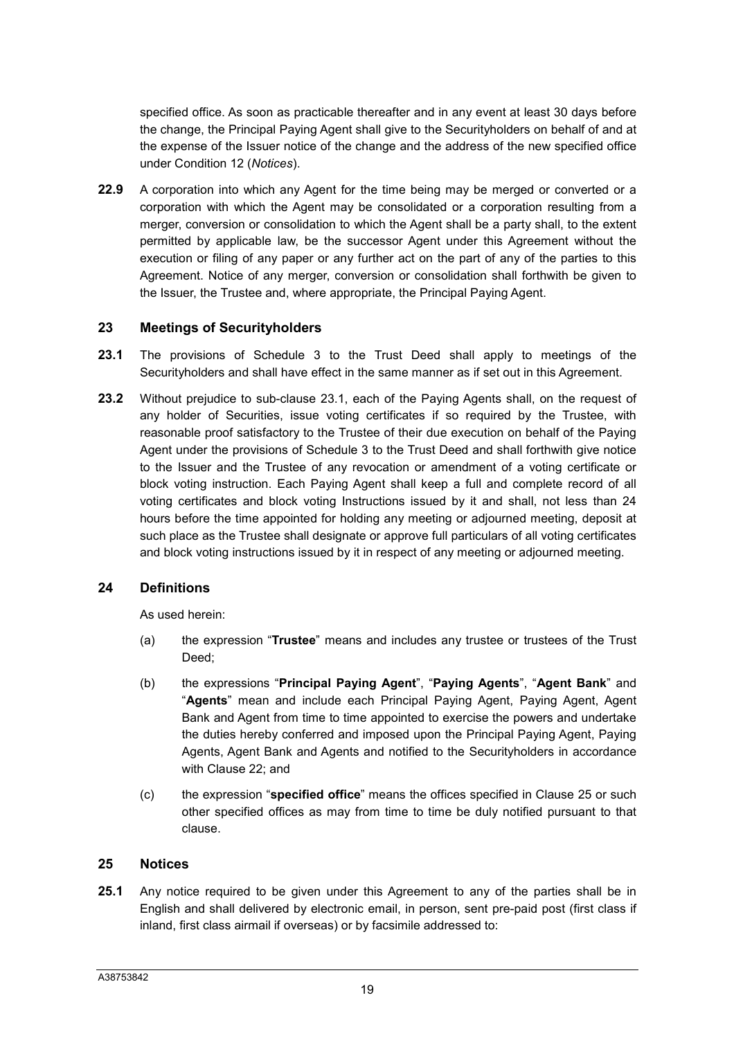specified office. As soon as practicable thereafter and in any event at least 30 days before the change, the Principal Paying Agent shall give to the Securityholders on behalf of and at the expense of the Issuer notice of the change and the address of the new specified office under Condition 12 (*Notices*).

**22.9** A corporation into which any Agent for the time being may be merged or converted or a corporation with which the Agent may be consolidated or a corporation resulting from a merger, conversion or consolidation to which the Agent shall be a party shall, to the extent permitted by applicable law, be the successor Agent under this Agreement without the execution or filing of any paper or any further act on the part of any of the parties to this Agreement. Notice of any merger, conversion or consolidation shall forthwith be given to the Issuer, the Trustee and, where appropriate, the Principal Paying Agent.

### **23 Meetings of Securityholders**

- **23.1** The provisions of Schedule 3 to the Trust Deed shall apply to meetings of the Securityholders and shall have effect in the same manner as if set out in this Agreement.
- **23.2** Without prejudice to sub-clause 23.1, each of the Paying Agents shall, on the request of any holder of Securities, issue voting certificates if so required by the Trustee, with reasonable proof satisfactory to the Trustee of their due execution on behalf of the Paying Agent under the provisions of Schedule 3 to the Trust Deed and shall forthwith give notice to the Issuer and the Trustee of any revocation or amendment of a voting certificate or block voting instruction. Each Paying Agent shall keep a full and complete record of all voting certificates and block voting Instructions issued by it and shall, not less than 24 hours before the time appointed for holding any meeting or adjourned meeting, deposit at such place as the Trustee shall designate or approve full particulars of all voting certificates and block voting instructions issued by it in respect of any meeting or adjourned meeting.

## **24 Definitions**

As used herein:

- (a) the expression "**Trustee**" means and includes any trustee or trustees of the Trust Deed;
- (b) the expressions "**Principal Paying Agent**", "**Paying Agents**", "**Agent Bank**" and "**Agents**" mean and include each Principal Paying Agent, Paying Agent, Agent Bank and Agent from time to time appointed to exercise the powers and undertake the duties hereby conferred and imposed upon the Principal Paying Agent, Paying Agents, Agent Bank and Agents and notified to the Securityholders in accordance with Clause 22; and
- (c) the expression "**specified office**" means the offices specified in Clause 25 or such other specified offices as may from time to time be duly notified pursuant to that clause.

#### **25 Notices**

**25.1** Any notice required to be given under this Agreement to any of the parties shall be in English and shall delivered by electronic email, in person, sent pre-paid post (first class if inland, first class airmail if overseas) or by facsimile addressed to: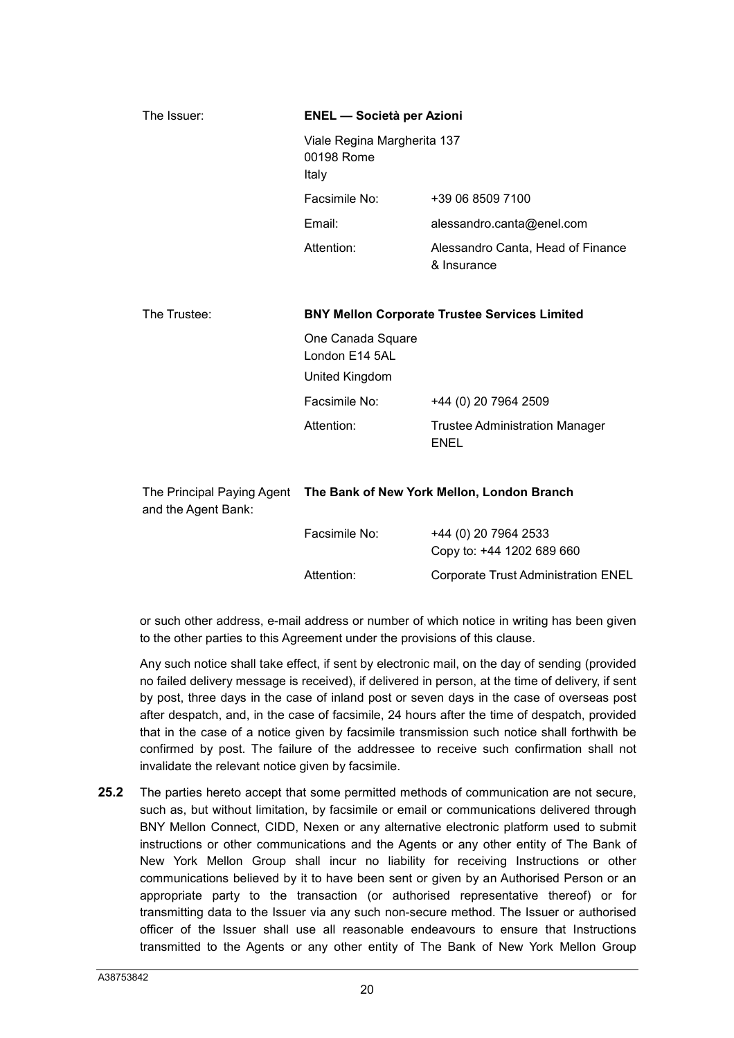| The Issuer:         | <b>ENEL</b> - Società per Azioni                                      |                                                      |  |
|---------------------|-----------------------------------------------------------------------|------------------------------------------------------|--|
|                     | Viale Regina Margherita 137<br>00198 Rome<br>Italy                    |                                                      |  |
|                     | Facsimile No:                                                         | +39 06 8509 7100                                     |  |
|                     | Email:                                                                | alessandro.canta@enel.com                            |  |
|                     | Attention:                                                            | Alessandro Canta, Head of Finance<br>& Insurance     |  |
| The Trustee:        | <b>BNY Mellon Corporate Trustee Services Limited</b>                  |                                                      |  |
|                     | One Canada Square<br>London E14 5AL                                   |                                                      |  |
|                     | United Kingdom                                                        |                                                      |  |
|                     | Facsimile No:                                                         | +44 (0) 20 7964 2509                                 |  |
|                     | Attention:                                                            | <b>Trustee Administration Manager</b><br><b>ENEL</b> |  |
| and the Agent Bank: | The Principal Paying Agent The Bank of New York Mellon, London Branch |                                                      |  |
|                     | Facsimile No:                                                         | +44 (0) 20 7964 2533<br>Copy to: +44 1202 689 660    |  |
|                     | Attention:                                                            | <b>Corporate Trust Administration ENEL</b>           |  |

or such other address, e-mail address or number of which notice in writing has been given to the other parties to this Agreement under the provisions of this clause.

Any such notice shall take effect, if sent by electronic mail, on the day of sending (provided no failed delivery message is received), if delivered in person, at the time of delivery, if sent by post, three days in the case of inland post or seven days in the case of overseas post after despatch, and, in the case of facsimile, 24 hours after the time of despatch, provided that in the case of a notice given by facsimile transmission such notice shall forthwith be confirmed by post. The failure of the addressee to receive such confirmation shall not invalidate the relevant notice given by facsimile.

**25.2** The parties hereto accept that some permitted methods of communication are not secure, such as, but without limitation, by facsimile or email or communications delivered through BNY Mellon Connect, CIDD, Nexen or any alternative electronic platform used to submit instructions or other communications and the Agents or any other entity of The Bank of New York Mellon Group shall incur no liability for receiving Instructions or other communications believed by it to have been sent or given by an Authorised Person or an appropriate party to the transaction (or authorised representative thereof) or for transmitting data to the Issuer via any such non-secure method. The Issuer or authorised officer of the Issuer shall use all reasonable endeavours to ensure that Instructions transmitted to the Agents or any other entity of The Bank of New York Mellon Group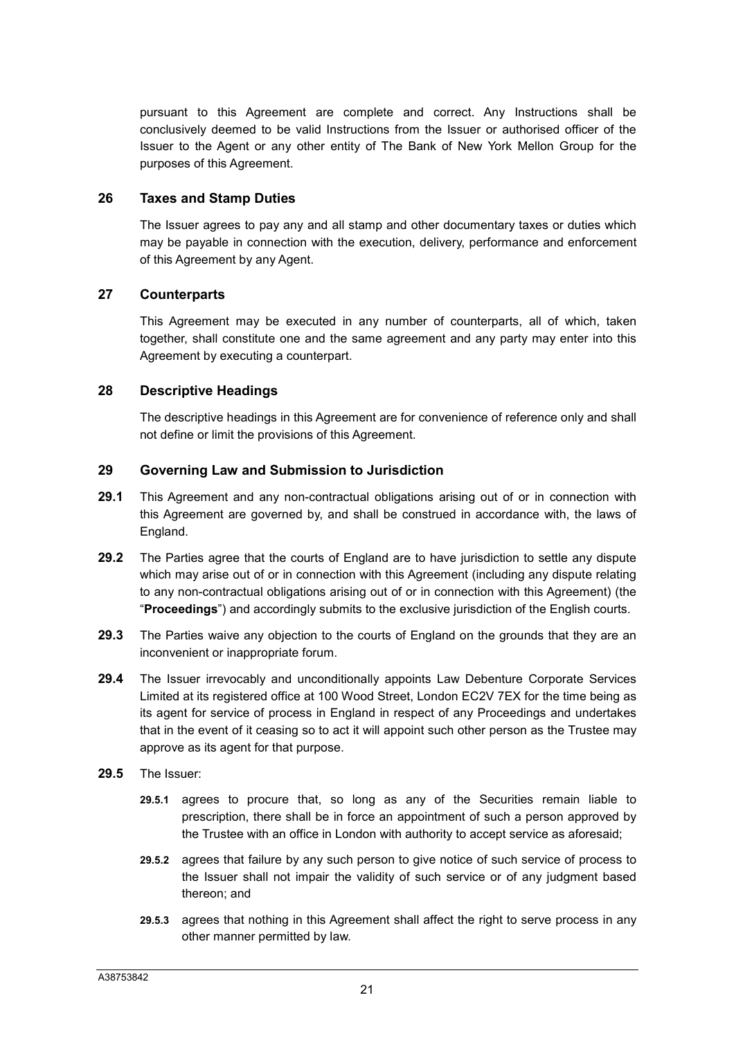pursuant to this Agreement are complete and correct. Any Instructions shall be conclusively deemed to be valid Instructions from the Issuer or authorised officer of the Issuer to the Agent or any other entity of The Bank of New York Mellon Group for the purposes of this Agreement.

#### **26 Taxes and Stamp Duties**

The Issuer agrees to pay any and all stamp and other documentary taxes or duties which may be payable in connection with the execution, delivery, performance and enforcement of this Agreement by any Agent.

### **27 Counterparts**

This Agreement may be executed in any number of counterparts, all of which, taken together, shall constitute one and the same agreement and any party may enter into this Agreement by executing a counterpart.

### **28 Descriptive Headings**

The descriptive headings in this Agreement are for convenience of reference only and shall not define or limit the provisions of this Agreement.

### **29 Governing Law and Submission to Jurisdiction**

- **29.1** This Agreement and any non-contractual obligations arising out of or in connection with this Agreement are governed by, and shall be construed in accordance with, the laws of England.
- **29.2** The Parties agree that the courts of England are to have jurisdiction to settle any dispute which may arise out of or in connection with this Agreement (including any dispute relating to any non-contractual obligations arising out of or in connection with this Agreement) (the "**Proceedings**") and accordingly submits to the exclusive jurisdiction of the English courts.
- **29.3** The Parties waive any objection to the courts of England on the grounds that they are an inconvenient or inappropriate forum.
- **29.4** The Issuer irrevocably and unconditionally appoints Law Debenture Corporate Services Limited at its registered office at 100 Wood Street, London EC2V 7EX for the time being as its agent for service of process in England in respect of any Proceedings and undertakes that in the event of it ceasing so to act it will appoint such other person as the Trustee may approve as its agent for that purpose.
- **29.5** The Issuer:
	- **29.5.1** agrees to procure that, so long as any of the Securities remain liable to prescription, there shall be in force an appointment of such a person approved by the Trustee with an office in London with authority to accept service as aforesaid;
	- **29.5.2** agrees that failure by any such person to give notice of such service of process to the Issuer shall not impair the validity of such service or of any judgment based thereon; and
	- **29.5.3** agrees that nothing in this Agreement shall affect the right to serve process in any other manner permitted by law.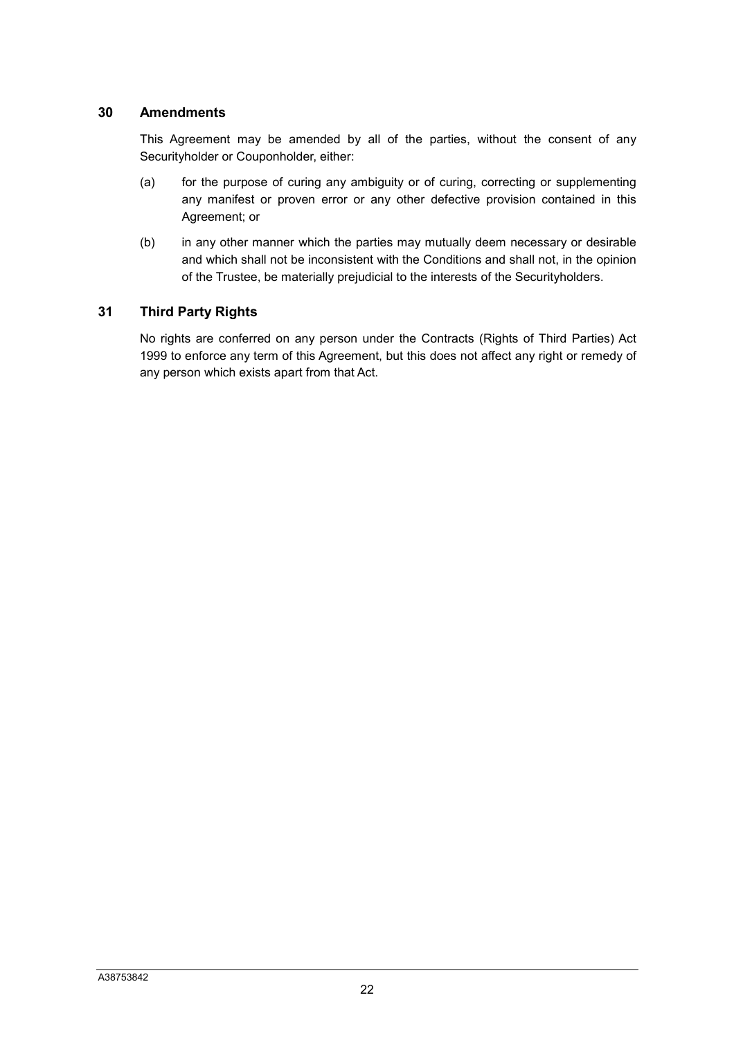#### **30 Amendments**

This Agreement may be amended by all of the parties, without the consent of any Securityholder or Couponholder, either:

- (a) for the purpose of curing any ambiguity or of curing, correcting or supplementing any manifest or proven error or any other defective provision contained in this Agreement; or
- (b) in any other manner which the parties may mutually deem necessary or desirable and which shall not be inconsistent with the Conditions and shall not, in the opinion of the Trustee, be materially prejudicial to the interests of the Securityholders.

### **31 Third Party Rights**

No rights are conferred on any person under the Contracts (Rights of Third Parties) Act 1999 to enforce any term of this Agreement, but this does not affect any right or remedy of any person which exists apart from that Act.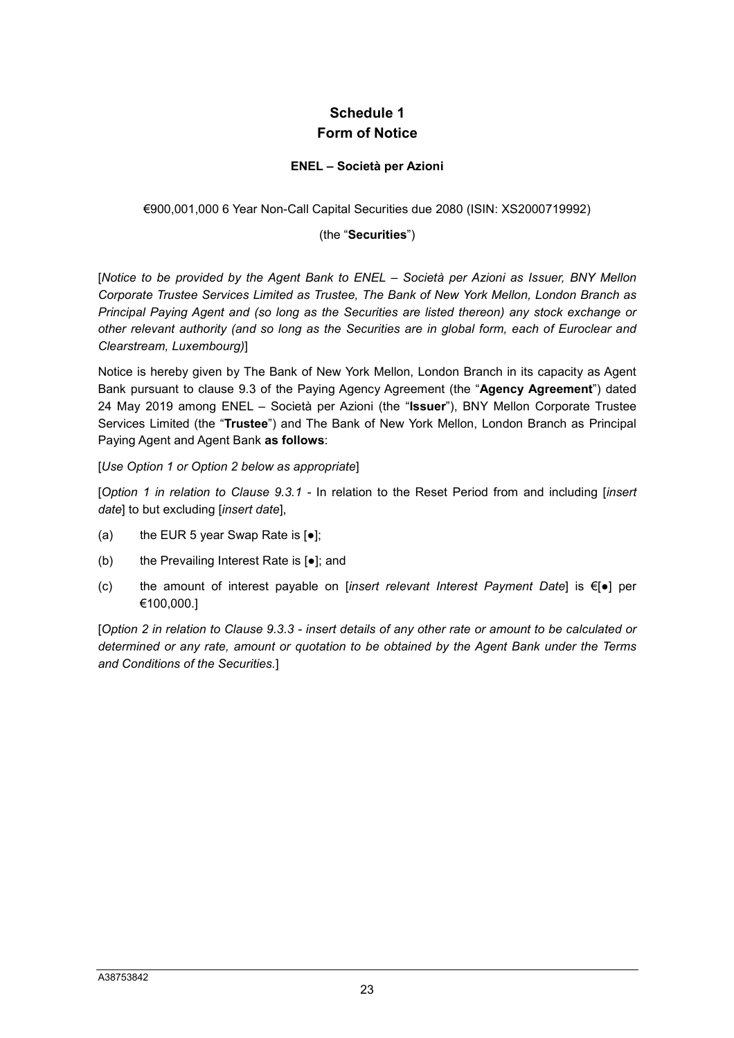## **Schedule 1 Form of Notice**

#### **ENEL – Società per Azioni**

#### €900,001,000 6 Year Non-Call Capital Securities due 2080 (ISIN: XS2000719992)

#### (the "**Securities**")

[*Notice to be provided by the Agent Bank to ENEL – Società per Azioni as Issuer, BNY Mellon Corporate Trustee Services Limited as Trustee, The Bank of New York Mellon, London Branch as Principal Paying Agent and (so long as the Securities are listed thereon) any stock exchange or other relevant authority (and so long as the Securities are in global form, each of Euroclear and Clearstream, Luxembourg)*]

Notice is hereby given by The Bank of New York Mellon, London Branch in its capacity as Agent Bank pursuant to clause 9.3 of the Paying Agency Agreement (the "**Agency Agreement**") dated 24 May 2019 among ENEL – Società per Azioni (the "**Issuer**"), BNY Mellon Corporate Trustee Services Limited (the "**Trustee**") and The Bank of New York Mellon, London Branch as Principal Paying Agent and Agent Bank **as follows**:

#### [*Use Option 1 or Option 2 below as appropriate*]

[*Option 1 in relation to Clause 9.3.1 -* In relation to the Reset Period from and including [*insert date*] to but excluding [*insert date*],

- (a) the EUR 5 year Swap Rate is  $[e]$ ;
- (b) the Prevailing Interest Rate is [●]; and
- (c) the amount of interest payable on [*insert relevant Interest Payment Date*] is €[●] per €100,000.]

[*Option 2 in relation to Clause 9.3.3 - insert details of any other rate or amount to be calculated or determined or any rate, amount or quotation to be obtained by the Agent Bank under the Terms and Conditions of the Securities.*]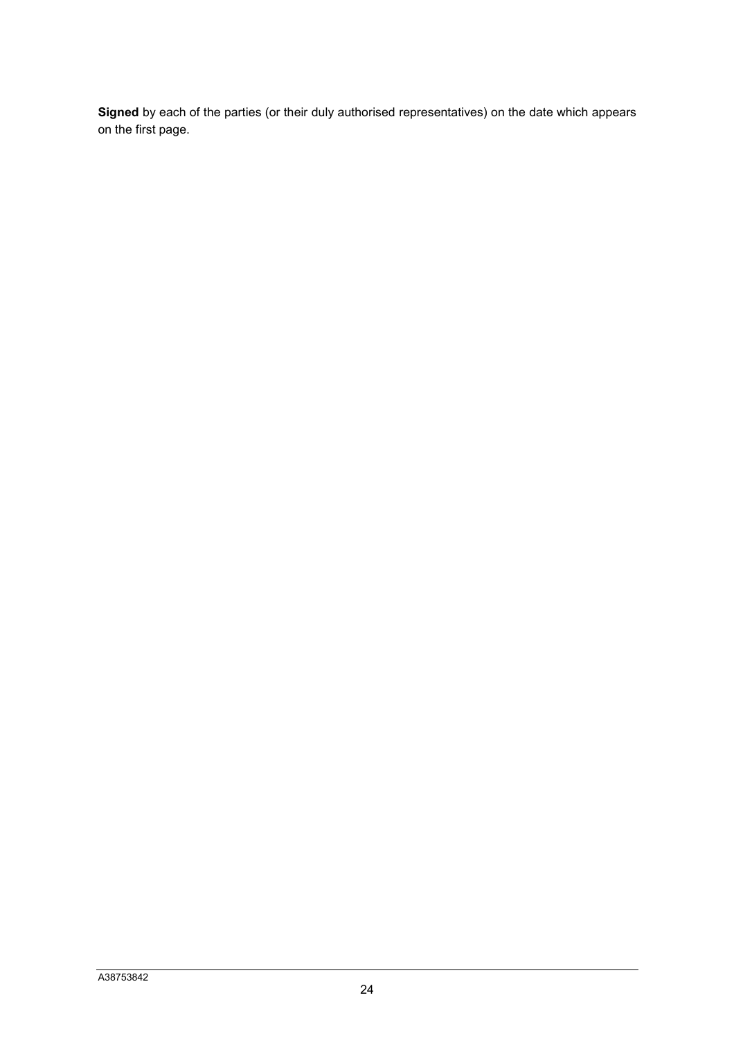**Signed** by each of the parties (or their duly authorised representatives) on the date which appears on the first page.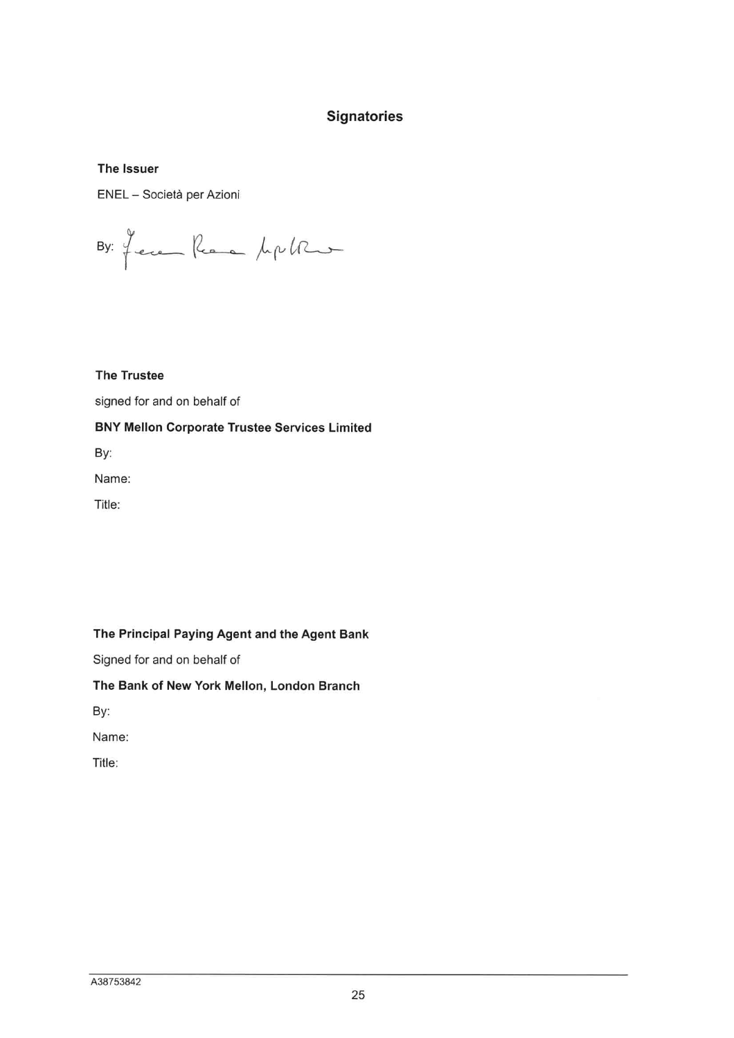## **Signatories**

#### The Issuer

ENEL - Società per Azioni

By: Jecen Reare pupille

#### **The Trustee**

signed for and on behalf of

#### **BNY Mellon Corporate Trustee Services Limited**

By:

Name:

Title:

#### The Principal Paying Agent and the Agent Bank

Signed for and on behalf of

#### The Bank of New York Mellon, London Branch

By:

Name:

Title: